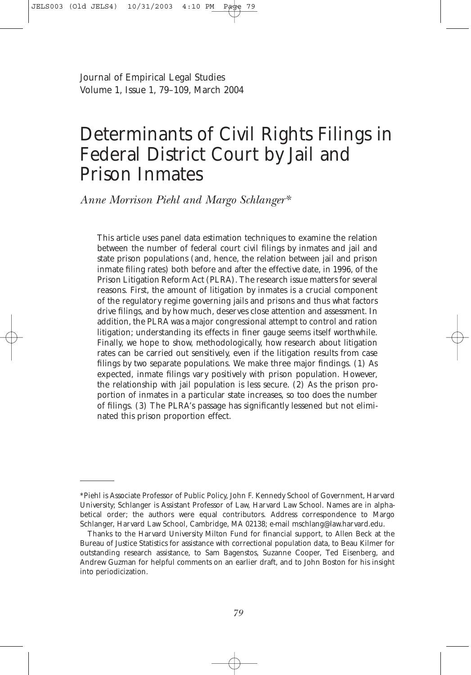Journal of Empirical Legal Studies Volume 1, Issue 1, 79–109, March 2004

# Determinants of Civil Rights Filings in Federal District Court by Jail and Prison Inmates

*Anne Morrison Piehl and Margo Schlanger\**

This article uses panel data estimation techniques to examine the relation between the number of federal court civil filings by inmates and jail and state prison populations (and, hence, the relation between jail and prison inmate filing rates) both before and after the effective date, in 1996, of the Prison Litigation Reform Act (PLRA). The research issue matters for several reasons. First, the amount of litigation by inmates is a crucial component of the regulatory regime governing jails and prisons and thus what factors drive filings, and by how much, deserves close attention and assessment. In addition, the PLRA was a major congressional attempt to control and ration litigation; understanding its effects in finer gauge seems itself worthwhile. Finally, we hope to show, methodologically, how research about litigation rates can be carried out sensitively, even if the litigation results from case filings by two separate populations. We make three major findings. (1) As expected, inmate filings vary positively with prison population. However, the relationship with jail population is less secure. (2) As the prison proportion of inmates in a particular state increases, so too does the number of filings. (3) The PLRA's passage has significantly lessened but not eliminated this prison proportion effect.

<sup>\*</sup>Piehl is Associate Professor of Public Policy, John F. Kennedy School of Government, Harvard University; Schlanger is Assistant Professor of Law, Harvard Law School. Names are in alphabetical order; the authors were equal contributors. Address correspondence to Margo Schlanger, Harvard Law School, Cambridge, MA 02138; e-mail mschlang@law.harvard.edu.

Thanks to the Harvard University Milton Fund for financial support, to Allen Beck at the Bureau of Justice Statistics for assistance with correctional population data, to Beau Kilmer for outstanding research assistance, to Sam Bagenstos, Suzanne Cooper, Ted Eisenberg, and Andrew Guzman for helpful comments on an earlier draft, and to John Boston for his insight into periodicization.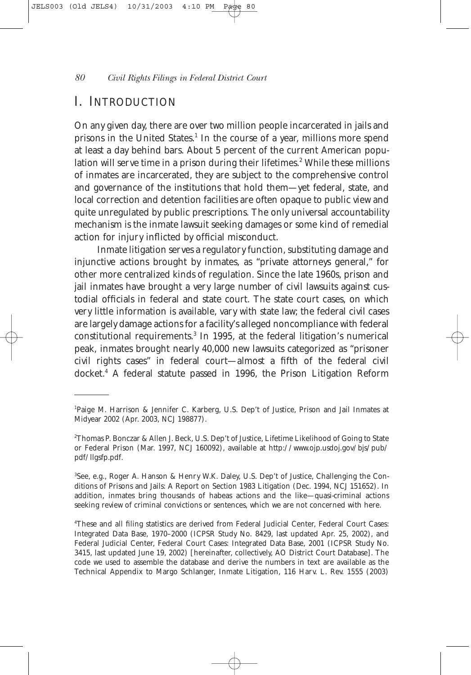# I. INTRODUCTION

On any given day, there are over two million people incarcerated in jails and prisons in the United States.<sup>1</sup> In the course of a year, millions more spend at least a day behind bars. About 5 percent of the current American population will serve time in a prison during their lifetimes.<sup>2</sup> While these millions of inmates are incarcerated, they are subject to the comprehensive control and governance of the institutions that hold them—yet federal, state, and local correction and detention facilities are often opaque to public view and quite unregulated by public prescriptions. The only universal accountability mechanism is the inmate lawsuit seeking damages or some kind of remedial action for injury inflicted by official misconduct.

Inmate litigation serves a regulatory function, substituting damage and injunctive actions brought by inmates, as "private attorneys general," for other more centralized kinds of regulation. Since the late 1960s, prison and jail inmates have brought a very large number of civil lawsuits against custodial officials in federal and state court. The state court cases, on which very little information is available, vary with state law; the federal civil cases are largely damage actions for a facility's alleged noncompliance with federal constitutional requirements.<sup>3</sup> In 1995, at the federal litigation's numerical peak, inmates brought nearly 40,000 new lawsuits categorized as "prisoner civil rights cases" in federal court—almost a fifth of the federal civil docket.<sup>4</sup> A federal statute passed in 1996, the Prison Litigation Reform

4 These and all filing statistics are derived from Federal Judicial Center, Federal Court Cases: Integrated Data Base, 1970–2000 (ICPSR Study No. 8429, last updated Apr. 25, 2002), and Federal Judicial Center, Federal Court Cases: Integrated Data Base, 2001 (ICPSR Study No. 3415, last updated June 19, 2002) [hereinafter, collectively, AO District Court Database]. The code we used to assemble the database and derive the numbers in text are available as the Technical Appendix to Margo Schlanger, Inmate Litigation, 116 Harv. L. Rev. 1555 (2003)

<sup>1</sup> Paige M. Harrison & Jennifer C. Karberg, U.S. Dep't of Justice, Prison and Jail Inmates at Midyear 2002 (Apr. 2003, NCJ 198877).

<sup>2</sup> Thomas P. Bonczar & Allen J. Beck, U.S. Dep't of Justice, Lifetime Likelihood of Going to State or Federal Prison (Mar. 1997, NCJ 160092), available at http://www.ojp.usdoj.gov/bjs/pub/ pdf/llgsfp.pdf.

<sup>3</sup> See, e.g., Roger A. Hanson & Henry W.K. Daley, U.S. Dep't of Justice, Challenging the Conditions of Prisons and Jails: A Report on Section 1983 Litigation (Dec. 1994, NCJ 151652). In addition, inmates bring thousands of habeas actions and the like—quasi-criminal actions seeking review of criminal convictions or sentences, which we are not concerned with here.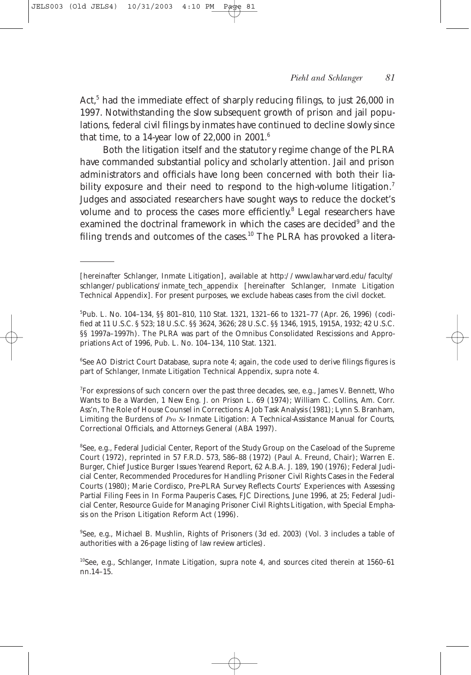Act,<sup>5</sup> had the immediate effect of sharply reducing filings, to just 26,000 in 1997. Notwithstanding the slow subsequent growth of prison and jail populations, federal civil filings by inmates have continued to decline slowly since that time, to a 14-year low of 22,000 in 2001. $6$ 

Both the litigation itself and the statutory regime change of the PLRA have commanded substantial policy and scholarly attention. Jail and prison administrators and officials have long been concerned with both their liability exposure and their need to respond to the high-volume litigation.<sup>7</sup> Judges and associated researchers have sought ways to reduce the docket's volume and to process the cases more efficiently.<sup>8</sup> Legal researchers have examined the doctrinal framework in which the cases are decided<sup>9</sup> and the filing trends and outcomes of the cases.<sup>10</sup> The PLRA has provoked a litera-

6 See AO District Court Database, supra note 4; again, the code used to derive filings figures is part of Schlanger, Inmate Litigation Technical Appendix, supra note 4.

7 For expressions of such concern over the past three decades, see, e.g., James V. Bennett, Who Wants to Be a Warden, 1 New Eng. J. on Prison L. 69 (1974); William C. Collins, Am. Corr. Ass'n, The Role of House Counsel in Corrections: A Job Task Analysis (1981); Lynn S. Branham, Limiting the Burdens of *Pro Se* Inmate Litigation: A Technical-Assistance Manual for Courts, Correctional Officials, and Attorneys General (ABA 1997).

8 See, e.g., Federal Judicial Center, Report of the Study Group on the Caseload of the Supreme Court (1972), reprinted in 57 F.R.D. 573, 586–88 (1972) (Paul A. Freund, Chair); Warren E. Burger, Chief Justice Burger Issues Yearend Report, 62 A.B.A. J. 189, 190 (1976); Federal Judicial Center, Recommended Procedures for Handling Prisoner Civil Rights Cases in the Federal Courts (1980); Marie Cordisco, Pre-PLRA Survey Reflects Courts' Experiences with Assessing Partial Filing Fees in In Forma Pauperis Cases, FJC Directions, June 1996, at 25; Federal Judicial Center, Resource Guide for Managing Prisoner Civil Rights Litigation, with Special Emphasis on the Prison Litigation Reform Act (1996).

9 See, e.g., Michael B. Mushlin, Rights of Prisoners (3d ed. 2003) (Vol. 3 includes a table of authorities with a 26-page listing of law review articles).

 $10$ See, e.g., Schlanger, Inmate Litigation, supra note 4, and sources cited therein at  $1560-61$ nn.14–15.

<sup>[</sup>hereinafter Schlanger, Inmate Litigation], available at http://www.law.harvard.edu/faculty/ schlanger/publications/inmate\_tech\_appendix [hereinafter Schlanger, Inmate Litigation Technical Appendix]. For present purposes, we exclude habeas cases from the civil docket.

<sup>5</sup> Pub. L. No. 104–134, §§ 801–810, 110 Stat. 1321, 1321–66 to 1321–77 (Apr. 26, 1996) (codified at 11 U.S.C. § 523; 18 U.S.C. §§ 3624, 3626; 28 U.S.C. §§ 1346, 1915, 1915A, 1932; 42 U.S.C. §§ 1997a–1997h). The PLRA was part of the Omnibus Consolidated Rescissions and Appropriations Act of 1996, Pub. L. No. 104–134, 110 Stat. 1321.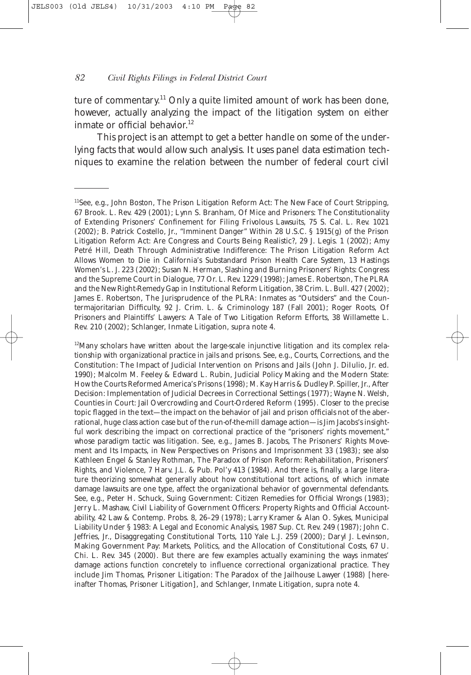ture of commentary.<sup>11</sup> Only a quite limited amount of work has been done, however, actually analyzing the impact of the litigation system on either inmate or official behavior. $12$ 

This project is an attempt to get a better handle on some of the underlying facts that would allow such analysis. It uses panel data estimation techniques to examine the relation between the number of federal court civil

 $12$ Many scholars have written about the large-scale injunctive litigation and its complex relationship with organizational practice in jails and prisons. See, e.g., Courts, Corrections, and the Constitution: The Impact of Judicial Intervention on Prisons and Jails (John J. DiIulio, Jr. ed. 1990); Malcolm M. Feeley & Edward L. Rubin, Judicial Policy Making and the Modern State: How the Courts Reformed America's Prisons (1998); M. Kay Harris & Dudley P. Spiller, Jr., After Decision: Implementation of Judicial Decrees in Correctional Settings (1977); Wayne N. Welsh, Counties in Court: Jail Overcrowding and Court-Ordered Reform (1995). Closer to the precise topic flagged in the text—the impact on the behavior of jail and prison officials not of the aberrational, huge class action case but of the run-of-the-mill damage action—is Jim Jacobs's insightful work describing the impact on correctional practice of the "prisoners' rights movement," whose paradigm tactic was litigation. See, e.g., James B. Jacobs, The Prisoners' Rights Movement and Its Impacts, in New Perspectives on Prisons and Imprisonment 33 (1983); see also Kathleen Engel & Stanley Rothman, The Paradox of Prison Reform: Rehabilitation, Prisoners' Rights, and Violence, 7 Harv. J.L. & Pub. Pol'y 413 (1984). And there is, finally, a large literature theorizing somewhat generally about how constitutional tort actions, of which inmate damage lawsuits are one type, affect the organizational behavior of governmental defendants. See, e.g., Peter H. Schuck, Suing Government: Citizen Remedies for Official Wrongs (1983); Jerry L. Mashaw, Civil Liability of Government Officers: Property Rights and Official Accountability, 42 Law & Contemp. Probs. 8, 26–29 (1978); Larry Kramer & Alan O. Sykes, Municipal Liability Under § 1983: A Legal and Economic Analysis, 1987 Sup. Ct. Rev. 249 (1987); John C. Jeffries, Jr., Disaggregating Constitutional Torts, 110 Yale L.J. 259 (2000); Daryl J. Levinson, Making Government Pay: Markets, Politics, and the Allocation of Constitutional Costs, 67 U. Chi. L. Rev. 345 (2000). But there are few examples actually examining the ways inmates' damage actions function concretely to influence correctional organizational practice. They include Jim Thomas, Prisoner Litigation: The Paradox of the Jailhouse Lawyer (1988) [hereinafter Thomas, Prisoner Litigation], and Schlanger, Inmate Litigation, supra note 4.

 $11$ See, e.g., John Boston, The Prison Litigation Reform Act: The New Face of Court Stripping, 67 Brook. L. Rev. 429 (2001); Lynn S. Branham, Of Mice and Prisoners: The Constitutionality of Extending Prisoners' Confinement for Filing Frivolous Lawsuits, 75 S. Cal. L. Rev. 1021 (2002); B. Patrick Costello, Jr., "Imminent Danger" Within 28 U.S.C. § 1915(g) of the Prison Litigation Reform Act: Are Congress and Courts Being Realistic?, 29 J. Legis. 1 (2002); Amy Petré Hill, Death Through Administrative Indifference: The Prison Litigation Reform Act Allows Women to Die in California's Substandard Prison Health Care System, 13 Hastings Women's L. J. 223 (2002); Susan N. Herman, Slashing and Burning Prisoners' Rights: Congress and the Supreme Court in Dialogue, 77 Or. L. Rev. 1229 (1998); James E. Robertson, The PLRA and the New Right-Remedy Gap in Institutional Reform Litigation, 38 Crim. L. Bull. 427 (2002); James E. Robertson, The Jurisprudence of the PLRA: Inmates as "Outsiders" and the Countermajoritarian Difficulty, 92 J. Crim. L. & Criminology 187 (Fall 2001); Roger Roots, Of Prisoners and Plaintiffs' Lawyers: A Tale of Two Litigation Reform Efforts, 38 Willamette L. Rev. 210 (2002); Schlanger, Inmate Litigation, supra note 4.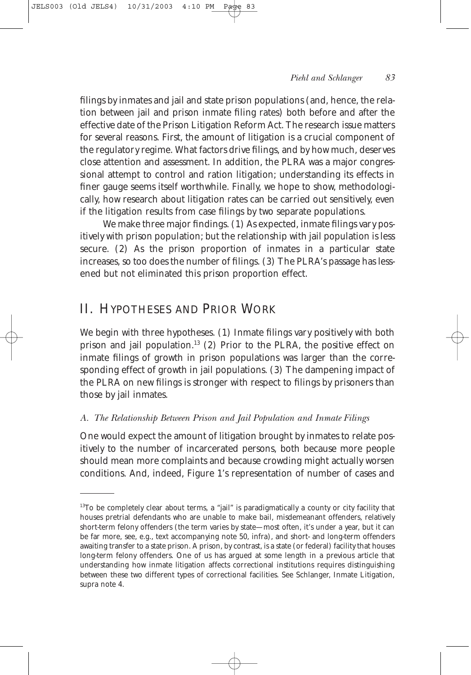filings by inmates and jail and state prison populations (and, hence, the relation between jail and prison inmate filing rates) both before and after the effective date of the Prison Litigation Reform Act. The research issue matters for several reasons. First, the amount of litigation is a crucial component of the regulatory regime. What factors drive filings, and by how much, deserves close attention and assessment. In addition, the PLRA was a major congressional attempt to control and ration litigation; understanding its effects in finer gauge seems itself worthwhile. Finally, we hope to show, methodologically, how research about litigation rates can be carried out sensitively, even if the litigation results from case filings by two separate populations.

We make three major findings. (1) As expected, inmate filings vary positively with prison population; but the relationship with jail population is less secure. (2) As the prison proportion of inmates in a particular state increases, so too does the number of filings. (3) The PLRA's passage has lessened but not eliminated this prison proportion effect.

# II. HYPOTHESES AND PRIOR WORK

We begin with three hypotheses. (1) Inmate filings vary positively with both prison and jail population.<sup>13</sup> (2) Prior to the PLRA, the positive effect on inmate filings of growth in prison populations was larger than the corresponding effect of growth in jail populations. (3) The dampening impact of the PLRA on new filings is stronger with respect to filings by prisoners than those by jail inmates.

### *A. The Relationship Between Prison and Jail Population and Inmate Filings*

One would expect the amount of litigation brought by inmates to relate positively to the number of incarcerated persons, both because more people should mean more complaints and because crowding might actually worsen conditions. And, indeed, Figure 1's representation of number of cases and

<sup>&</sup>lt;sup>13</sup>To be completely clear about terms, a "jail" is paradigmatically a county or city facility that houses pretrial defendants who are unable to make bail, misdemeanant offenders, relatively short-term felony offenders (the term varies by state—most often, it's under a year, but it can be far more, see, e.g., text accompanying note 50, infra), and short- and long-term offenders awaiting transfer to a state prison. A prison, by contrast, is a state (or federal) facility that houses long-term felony offenders. One of us has argued at some length in a previous article that understanding how inmate litigation affects correctional institutions requires distinguishing between these two different types of correctional facilities. See Schlanger, Inmate Litigation, supra note 4.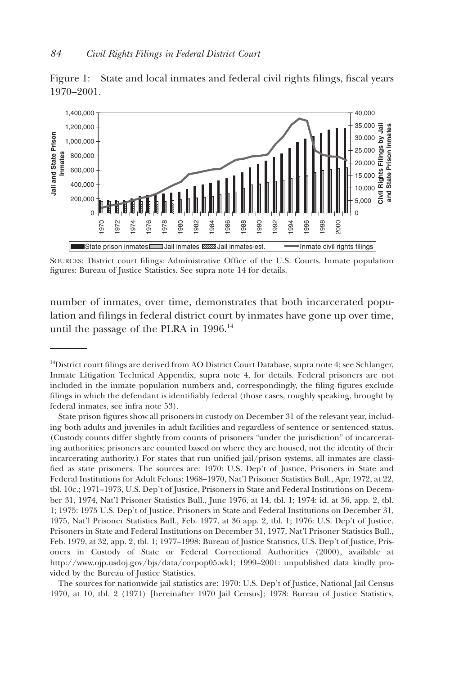

Figure 1: State and local inmates and federal civil rights filings, fiscal years 1970–2001.

SOURCES: District court filings: Administrative Office of the U.S. Courts. Inmate population figures: Bureau of Justice Statistics. See supra note 14 for details.

number of inmates, over time, demonstrates that both incarcerated population and filings in federal district court by inmates have gone up over time, until the passage of the PLRA in  $1996$ .<sup>14</sup>

The sources for nationwide jail statistics are: 1970: U.S. Dep't of Justice, National Jail Census 1970, at 10, tbl. 2 (1971) [hereinafter 1970 Jail Census]; 1978: Bureau of Justice Statistics,

<sup>&</sup>lt;sup>14</sup>District court filings are derived from AO District Court Database, supra note 4; see Schlanger, Inmate Litigation Technical Appendix, supra note 4, for details. Federal prisoners are not included in the inmate population numbers and, correspondingly, the filing figures exclude filings in which the defendant is identifiably federal (those cases, roughly speaking, brought by federal inmates, see infra note 53).

State prison figures show all prisoners in custody on December 31 of the relevant year, including both adults and juveniles in adult facilities and regardless of sentence or sentenced status. (Custody counts differ slightly from counts of prisoners "under the jurisdiction" of incarcerating authorities; prisoners are counted based on where they are housed, not the identity of their incarcerating authority.) For states that run unified jail/prison systems, all inmates are classified as state prisoners. The sources are: 1970: U.S. Dep't of Justice, Prisoners in State and Federal Institutions for Adult Felons: 1968–1970, Nat'l Prisoner Statistics Bull., Apr. 1972, at 22, tbl. 10c.; 1971–1973, U.S. Dep't of Justice, Prisoners in State and Federal Institutions on December 31, 1974, Nat'l Prisoner Statistics Bull., June 1976, at 14, tbl. 1; 1974: id. at 36, app. 2, tbl. 1; 1975: 1975 U.S. Dep't of Justice, Prisoners in State and Federal Institutions on December 31, 1975, Nat'l Prisoner Statistics Bull., Feb. 1977, at 36 app. 2, tbl. 1; 1976: U.S. Dep't of Justice, Prisoners in State and Federal Institutions on December 31, 1977, Nat'l Prisoner Statistics Bull., Feb. 1979, at 32, app. 2, tbl. 1; 1977–1998: Bureau of Justice Statistics, U.S. Dep't of Justice, Prisoners in Custody of State or Federal Correctional Authorities (2000), available at http://www.ojp.usdoj.gov/bjs/data/corpop05.wk1; 1999–2001: unpublished data kindly provided by the Bureau of Justice Statistics.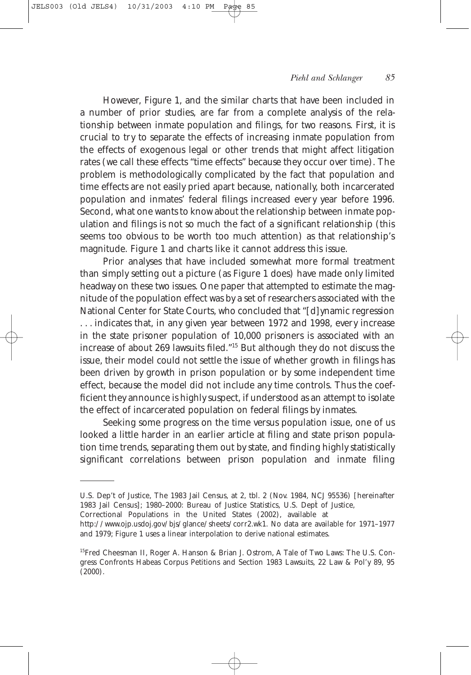However, Figure 1, and the similar charts that have been included in a number of prior studies, are far from a complete analysis of the relationship between inmate population and filings, for two reasons. First, it is crucial to try to separate the effects of increasing inmate population from the effects of exogenous legal or other trends that might affect litigation rates (we call these effects "time effects" because they occur over time). The problem is methodologically complicated by the fact that population and time effects are not easily pried apart because, nationally, both incarcerated population and inmates' federal filings increased every year before 1996. Second, what one wants to know about the relationship between inmate population and filings is not so much the fact of a significant relationship (this seems too obvious to be worth too much attention) as that relationship's magnitude. Figure 1 and charts like it cannot address this issue.

Prior analyses that have included somewhat more formal treatment than simply setting out a picture (as Figure 1 does) have made only limited headway on these two issues. One paper that attempted to estimate the magnitude of the population effect was by a set of researchers associated with the National Center for State Courts, who concluded that "[d]ynamic regression . . . indicates that, in any given year between 1972 and 1998, every increase in the state prisoner population of 10,000 prisoners is associated with an increase of about 269 lawsuits filed."<sup>15</sup> But although they do not discuss the issue, their model could not settle the issue of whether growth in filings has been driven by growth in prison population or by some independent time effect, because the model did not include any time controls. Thus the coefficient they announce is highly suspect, if understood as an attempt to isolate the effect of incarcerated population on federal filings by inmates.

Seeking some progress on the time versus population issue, one of us looked a little harder in an earlier article at filing and state prison population time trends, separating them out by state, and finding highly statistically significant correlations between prison population and inmate filing

Correctional Populations in the United States (2002), available at

U.S. Dep't of Justice, The 1983 Jail Census, at 2, tbl. 2 (Nov. 1984, NCJ 95536) [hereinafter 1983 Jail Census]; 1980-2000: Bureau of Justice Statistics, U.S. Dept of Justice,

http://www.ojp.usdoj.gov/bjs/glance/sheets/corr2.wk1. No data are available for 1971–1977 and 1979; Figure 1 uses a linear interpolation to derive national estimates.

<sup>&</sup>lt;sup>15</sup>Fred Cheesman II, Roger A. Hanson & Brian J. Ostrom, A Tale of Two Laws: The U.S. Congress Confronts Habeas Corpus Petitions and Section 1983 Lawsuits, 22 Law & Pol'y 89, 95 (2000).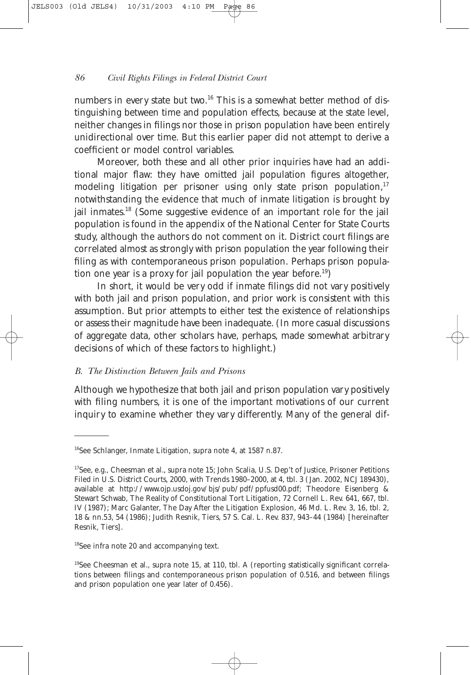numbers in every state but two.<sup>16</sup> This is a somewhat better method of distinguishing between time and population effects, because at the state level, neither changes in filings nor those in prison population have been entirely unidirectional over time. But this earlier paper did not attempt to derive a coefficient or model control variables.

Moreover, both these and all other prior inquiries have had an additional major flaw: they have omitted jail population figures altogether, modeling litigation per prisoner using only state prison population, $17$ notwithstanding the evidence that much of inmate litigation is brought by jail inmates.<sup>18</sup> (Some suggestive evidence of an important role for the jail population is found in the appendix of the National Center for State Courts study, although the authors do not comment on it. District court filings are correlated almost as strongly with prison population the year following their filing as with contemporaneous prison population. Perhaps prison population one year is a proxy for jail population the year before.<sup>19</sup>)

In short, it would be very odd if inmate filings did not vary positively with both jail and prison population, and prior work is consistent with this assumption. But prior attempts to either test the existence of relationships or assess their magnitude have been inadequate. (In more casual discussions of aggregate data, other scholars have, perhaps, made somewhat arbitrary decisions of which of these factors to highlight.)

#### *B. The Distinction Between Jails and Prisons*

Although we hypothesize that both jail and prison population vary positively with filing numbers, it is one of the important motivations of our current inquiry to examine whether they vary differently. Many of the general dif-

18See infra note 20 and accompanying text.

<sup>16</sup>See Schlanger, Inmate Litigation, supra note 4, at 1587 n.87.

<sup>&</sup>lt;sup>17</sup>See, e.g., Cheesman et al., supra note 15; John Scalia, U.S. Dep't of Justice, Prisoner Petitions Filed in U.S. District Courts, 2000, with Trends 1980–2000, at 4, tbl. 3 (Jan. 2002, NCJ 189430), available at http://www.ojp.usdoj.gov/bjs/pub/pdf/ppfusd00.pdf; Theodore Eisenberg & Stewart Schwab, The Reality of Constitutional Tort Litigation, 72 Cornell L. Rev. 641, 667, tbl. IV (1987); Marc Galanter, The Day After the Litigation Explosion, 46 Md. L. Rev. 3, 16, tbl. 2, 18 & nn.53, 54 (1986); Judith Resnik, Tiers, 57 S. Cal. L. Rev. 837, 943–44 (1984) [hereinafter Resnik, Tiers].

 $19$ See Cheesman et al., supra note 15, at 110, tbl. A (reporting statistically significant correlations between filings and contemporaneous prison population of 0.516, and between filings and prison population one year later of 0.456).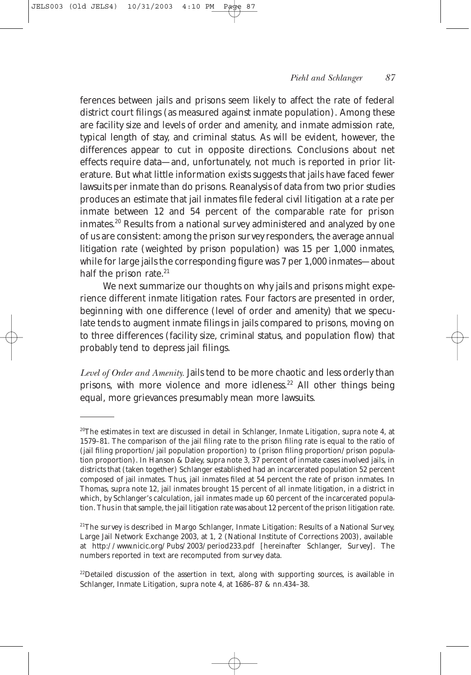ferences between jails and prisons seem likely to affect the rate of federal district court filings (as measured against inmate population). Among these are facility size and levels of order and amenity, and inmate admission rate, typical length of stay, and criminal status. As will be evident, however, the differences appear to cut in opposite directions. Conclusions about net effects require data—and, unfortunately, not much is reported in prior literature. But what little information exists suggests that jails have faced fewer lawsuits per inmate than do prisons. Reanalysis of data from two prior studies produces an estimate that jail inmates file federal civil litigation at a rate per inmate between 12 and 54 percent of the comparable rate for prison inmates.<sup>20</sup> Results from a national survey administered and analyzed by one of us are consistent: among the prison survey responders, the average annual litigation rate (weighted by prison population) was 15 per 1,000 inmates, while for large jails the corresponding figure was 7 per 1,000 inmates—about half the prison rate.<sup>21</sup>

We next summarize our thoughts on why jails and prisons might experience different inmate litigation rates. Four factors are presented in order, beginning with one difference (level of order and amenity) that we speculate tends to augment inmate filings in jails compared to prisons, moving on to three differences (facility size, criminal status, and population flow) that probably tend to depress jail filings.

*Level of Order and Amenity.* Jails tend to be more chaotic and less orderly than prisons, with more violence and more idleness.<sup>22</sup> All other things being equal, more grievances presumably mean more lawsuits.

<sup>&</sup>lt;sup>20</sup>The estimates in text are discussed in detail in Schlanger, Inmate Litigation, supra note 4, at 1579–81. The comparison of the jail filing rate to the prison filing rate is equal to the ratio of (jail filing proportion/jail population proportion) to (prison filing proportion/prison population proportion). In Hanson & Daley, supra note 3, 37 percent of inmate cases involved jails, in districts that (taken together) Schlanger established had an incarcerated population 52 percent composed of jail inmates. Thus, jail inmates filed at 54 percent the rate of prison inmates. In Thomas, supra note 12, jail inmates brought 15 percent of all inmate litigation, in a district in which, by Schlanger's calculation, jail inmates made up 60 percent of the incarcerated population. Thus in that sample, the jail litigation rate was about 12 percent of the prison litigation rate.

<sup>&</sup>lt;sup>21</sup>The survey is described in Margo Schlanger, Inmate Litigation: Results of a National Survey, Large Jail Network Exchange 2003, at 1, 2 (National Institute of Corrections 2003), available at http://www.nicic.org/Pubs/2003/period233.pdf [hereinafter Schlanger, Survey]. The numbers reported in text are recomputed from survey data.

 $22$ Detailed discussion of the assertion in text, along with supporting sources, is available in Schlanger, Inmate Litigation, supra note 4, at 1686–87 & nn.434–38.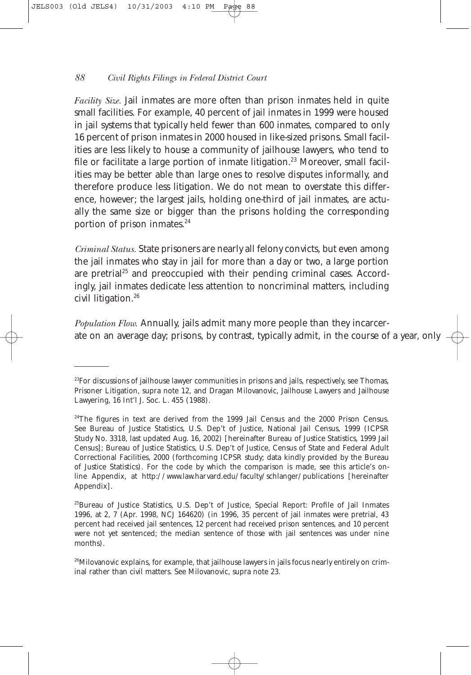*Facility Size.* Jail inmates are more often than prison inmates held in quite small facilities. For example, 40 percent of jail inmates in 1999 were housed in jail systems that typically held fewer than 600 inmates, compared to only 16 percent of prison inmates in 2000 housed in like-sized prisons. Small facilities are less likely to house a community of jailhouse lawyers, who tend to file or facilitate a large portion of inmate litigation.<sup>23</sup> Moreover, small facilities may be better able than large ones to resolve disputes informally, and therefore produce less litigation. We do not mean to overstate this difference, however; the largest jails, holding one-third of jail inmates, are actually the same size or bigger than the prisons holding the corresponding portion of prison inmates.<sup>24</sup>

*Criminal Status.* State prisoners are nearly all felony convicts, but even among the jail inmates who stay in jail for more than a day or two, a large portion are pretrial<sup>25</sup> and preoccupied with their pending criminal cases. Accordingly, jail inmates dedicate less attention to noncriminal matters, including civil litigation.<sup>26</sup>

*Population Flow.* Annually, jails admit many more people than they incarcerate on an average day; prisons, by contrast, typically admit, in the course of a year, only

 $23$ For discussions of jailhouse lawyer communities in prisons and jails, respectively, see Thomas, Prisoner Litigation, supra note 12, and Dragan Milovanovic, Jailhouse Lawyers and Jailhouse Lawyering, 16 Int'l J. Soc. L. 455 (1988).

 $24$ The figures in text are derived from the 1999 Jail Census and the 2000 Prison Census. See Bureau of Justice Statistics, U.S. Dep't of Justice, National Jail Census, 1999 (ICPSR Study No. 3318, last updated Aug. 16, 2002) [hereinafter Bureau of Justice Statistics, 1999 Jail Census]; Bureau of Justice Statistics, U.S. Dep't of Justice, Census of State and Federal Adult Correctional Facilities, 2000 (forthcoming ICPSR study; data kindly provided by the Bureau of Justice Statistics). For the code by which the comparison is made, see this article's online Appendix, at http://www.law.harvard.edu/faculty/schlanger/publications [hereinafter Appendix].

 $^{25}$ Bureau of Justice Statistics, U.S. Dep't of Justice, Special Report: Profile of Jail Inmates 1996, at 2, 7 (Apr. 1998, NCJ 164620) (in 1996, 35 percent of jail inmates were pretrial, 43 percent had received jail sentences, 12 percent had received prison sentences, and 10 percent were not yet sentenced; the median sentence of those with jail sentences was under nine months).

 $^{26}$ Milovanovic explains, for example, that jailhouse lawyers in jails focus nearly entirely on criminal rather than civil matters. See Milovanovic, supra note 23.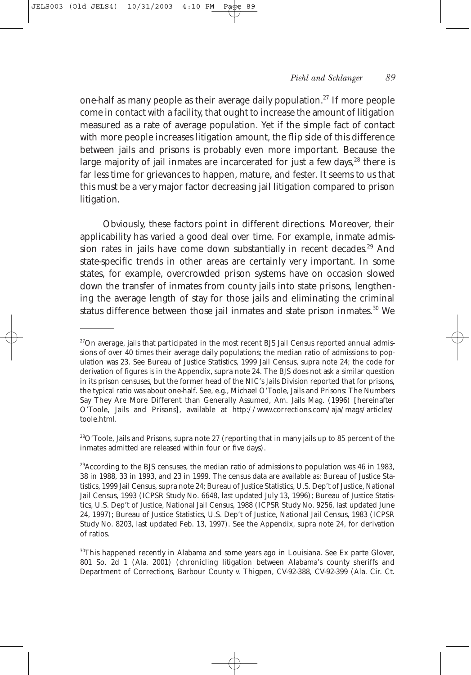one-half as many people as their average daily population.<sup>27</sup> If more people come in contact with a facility, that ought to increase the amount of litigation measured as a rate of average population. Yet if the simple fact of contact with more people increases litigation amount, the flip side of this difference between jails and prisons is probably even more important. Because the large majority of jail inmates are incarcerated for just a few days, $28$  there is far less time for grievances to happen, mature, and fester. It seems to us that this must be a very major factor decreasing jail litigation compared to prison litigation.

Obviously, these factors point in different directions. Moreover, their applicability has varied a good deal over time. For example, inmate admission rates in jails have come down substantially in recent decades.<sup>29</sup> And state-specific trends in other areas are certainly very important. In some states, for example, overcrowded prison systems have on occasion slowed down the transfer of inmates from county jails into state prisons, lengthening the average length of stay for those jails and eliminating the criminal status difference between those jail inmates and state prison inmates.<sup>30</sup> We

<sup>&</sup>lt;sup>27</sup>On average, jails that participated in the most recent BJS Jail Census reported annual admissions of over 40 times their average daily populations; the median ratio of admissions to population was 23. See Bureau of Justice Statistics, 1999 Jail Census, supra note 24; the code for derivation of figures is in the Appendix, supra note 24. The BJS does not ask a similar question in its prison censuses, but the former head of the NIC's Jails Division reported that for prisons, the typical ratio was about one-half. See, e.g., Michael O'Toole, Jails and Prisons: The Numbers Say They Are More Different than Generally Assumed, Am. Jails Mag. (1996) [hereinafter O'Toole, Jails and Prisons], available at http://www.corrections.com/aja/mags/articles/ toole.html.

<sup>&</sup>lt;sup>28</sup>O'Toole, Jails and Prisons, supra note 27 (reporting that in many jails up to 85 percent of the inmates admitted are released within four or five days).

 $29$ According to the BJS censuses, the median ratio of admissions to population was 46 in 1983, 38 in 1988, 33 in 1993, and 23 in 1999. The census data are available as: Bureau of Justice Statistics, 1999 Jail Census, supra note 24; Bureau of Justice Statistics, U.S. Dep't of Justice, National Jail Census, 1993 (ICPSR Study No. 6648, last updated July 13, 1996); Bureau of Justice Statistics, U.S. Dep't of Justice, National Jail Census, 1988 (ICPSR Study No. 9256, last updated June 24, 1997); Bureau of Justice Statistics, U.S. Dep't of Justice, National Jail Census, 1983 (ICPSR Study No. 8203, last updated Feb. 13, 1997). See the Appendix, supra note 24, for derivation of ratios.

<sup>&</sup>lt;sup>30</sup>This happened recently in Alabama and some years ago in Louisiana. See Ex parte Glover, 801 So. 2d 1 (Ala. 2001) (chronicling litigation between Alabama's county sheriffs and Department of Corrections, Barbour County v. Thigpen, CV-92-388, CV-92-399 (Ala. Cir. Ct.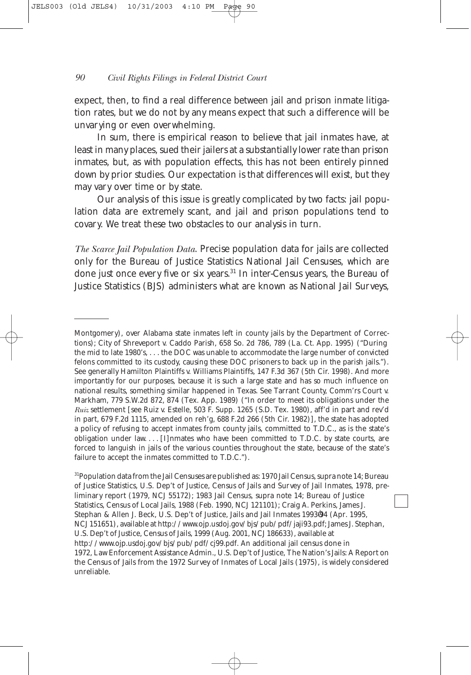expect, then, to find a real difference between jail and prison inmate litigation rates, but we do not by any means expect that such a difference will be unvarying or even overwhelming.

In sum, there is empirical reason to believe that jail inmates have, at least in many places, sued their jailers at a substantially lower rate than prison inmates, but, as with population effects, this has not been entirely pinned down by prior studies. Our expectation is that differences will exist, but they may vary over time or by state.

Our analysis of this issue is greatly complicated by two facts: jail population data are extremely scant, and jail and prison populations tend to covary. We treat these two obstacles to our analysis in turn.

*The Scarce Jail Population Data*. Precise population data for jails are collected only for the Bureau of Justice Statistics National Jail Censuses, which are done just once every five or six years.<sup>31</sup> In inter-Census years, the Bureau of Justice Statistics (BJS) administers what are known as National Jail Surveys,

Montgomery), over Alabama state inmates left in county jails by the Department of Corrections); City of Shreveport v. Caddo Parish, 658 So. 2d 786, 789 (La. Ct. App. 1995) ("During the mid to late 1980's, . . . the DOC was unable to accommodate the large number of convicted felons committed to its custody, causing these DOC prisoners to back up in the parish jails."). See generally Hamilton Plaintiffs v. Williams Plaintiffs, 147 F.3d 367 (5th Cir. 1998). And more importantly for our purposes, because it is such a large state and has so much influence on national results, something similar happened in Texas. See Tarrant County, Comm'rs Court v. Markham, 779 S.W.2d 872, 874 (Tex. App. 1989) ("In order to meet its obligations under the *Ruiz* settlement [see Ruiz v. Estelle, 503 F. Supp. 1265 (S.D. Tex. 1980), aff'd in part and rev'd in part, 679 F.2d 1115, amended on reh'g, 688 F.2d 266 (5th Cir. 1982)], the state has adopted a policy of refusing to accept inmates from county jails, committed to T.D.C., as is the state's obligation under law.... [I]nmates who have been committed to T.D.C. by state courts, are forced to languish in jails of the various counties throughout the state, because of the state's failure to accept the inmates committed to T.D.C.").

 $31$ Population data from the Jail Censuses are published as: 1970 Jail Census, supra note 14; Bureau of Justice Statistics, U.S. Dep't of Justice, Census of Jails and Survey of Jail Inmates, 1978, preliminary report (1979, NCJ 55172); 1983 Jail Census, supra note 14; Bureau of Justice Statistics, Census of Local Jails, 1988 (Feb. 1990, NCJ 121101); Craig A. Perkins, James J. Stephan & Allen J. Beck, U.S. Dep't of Justice, Jails and Jail Inmates 1993 $\mathbf{\hat{Q}}4$  (Apr. 1995, NCJ 151651), available at http://www.ojp.usdoj.gov/bjs/pub/pdf/jaji93.pdf; James J. Stephan, U.S. Dep't of Justice, Census of Jails, 1999 (Aug. 2001, NCJ 186633), available at http://www.ojp.usdoj.gov/bjs/pub/pdf/cj99.pdf. An additional jail census done in 1972, Law Enforcement Assistance Admin., U.S. Dep't of Justice, The Nation's Jails: A Report on the Census of Jails from the 1972 Survey of Inmates of Local Jails (1975), is widely considered unreliable.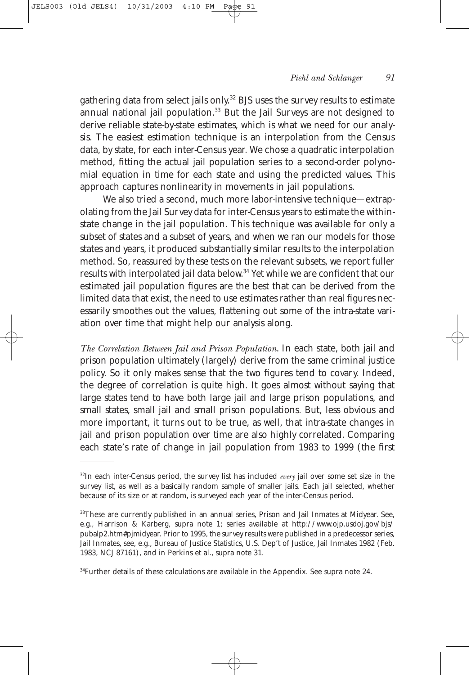gathering data from select jails only.<sup>32</sup> BJS uses the survey results to estimate annual national jail population.<sup>33</sup> But the Jail Surveys are not designed to derive reliable state-by-state estimates, which is what we need for our analysis. The easiest estimation technique is an interpolation from the Census data, by state, for each inter-Census year. We chose a quadratic interpolation method, fitting the actual jail population series to a second-order polynomial equation in time for each state and using the predicted values. This approach captures nonlinearity in movements in jail populations.

We also tried a second, much more labor-intensive technique—extrapolating from the Jail Survey data for inter-Census years to estimate the withinstate change in the jail population. This technique was available for only a subset of states and a subset of years, and when we ran our models for those states and years, it produced substantially similar results to the interpolation method. So, reassured by these tests on the relevant subsets, we report fuller results with interpolated jail data below.34 Yet while we are confident that our estimated jail population figures are the best that can be derived from the limited data that exist, the need to use estimates rather than real figures necessarily smoothes out the values, flattening out some of the intra-state variation over time that might help our analysis along.

*The Correlation Between Jail and Prison Population*. In each state, both jail and prison population ultimately (largely) derive from the same criminal justice policy. So it only makes sense that the two figures tend to covary. Indeed, the degree of correlation is quite high. It goes almost without saying that large states tend to have both large jail and large prison populations, and small states, small jail and small prison populations. But, less obvious and more important, it turns out to be true, as well, that intra-state changes in jail and prison population over time are also highly correlated. Comparing each state's rate of change in jail population from 1983 to 1999 (the first

<sup>&</sup>lt;sup>32</sup>In each inter-Census period, the survey list has included *every* jail over some set size in the survey list, as well as a basically random sample of smaller jails. Each jail selected, whether because of its size or at random, is surveyed each year of the inter-Census period.

<sup>&</sup>lt;sup>33</sup>These are currently published in an annual series, Prison and Jail Inmates at Midyear. See, e.g., Harrison & Karberg, supra note 1; series available at http://www.ojp.usdoj.gov/bjs/ pubalp2.htm#pjmidyear. Prior to 1995, the survey results were published in a predecessor series, Jail Inmates, see, e.g., Bureau of Justice Statistics, U.S. Dep't of Justice, Jail Inmates 1982 (Feb. 1983, NCJ 87161), and in Perkins et al., supra note 31.

 $34$ Further details of these calculations are available in the Appendix. See supra note 24.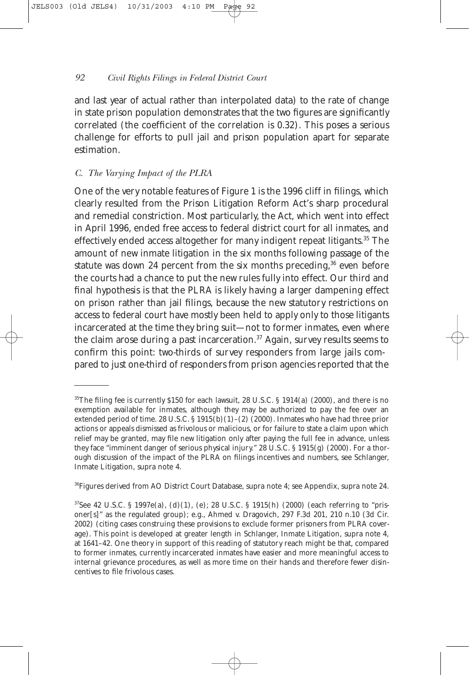and last year of actual rather than interpolated data) to the rate of change in state prison population demonstrates that the two figures are significantly correlated (the coefficient of the correlation is 0.32). This poses a serious challenge for efforts to pull jail and prison population apart for separate estimation.

### *C. The Varying Impact of the PLRA*

One of the very notable features of Figure 1 is the 1996 cliff in filings, which clearly resulted from the Prison Litigation Reform Act's sharp procedural and remedial constriction. Most particularly, the Act, which went into effect in April 1996, ended free access to federal district court for all inmates, and effectively ended access altogether for many indigent repeat litigants.<sup>35</sup> The amount of new inmate litigation in the six months following passage of the statute was down 24 percent from the six months preceding, $36$  even before the courts had a chance to put the new rules fully into effect. Our third and final hypothesis is that the PLRA is likely having a larger dampening effect on prison rather than jail filings, because the new statutory restrictions on access to federal court have mostly been held to apply only to those litigants incarcerated at the time they bring suit—not to former inmates, even where the claim arose during a past incarceration. $37$  Again, survey results seems to confirm this point: two-thirds of survey responders from large jails compared to just one-third of responders from prison agencies reported that the

<sup>36</sup>Figures derived from AO District Court Database, supra note 4; see Appendix, supra note 24.

<sup>&</sup>lt;sup>35</sup>The filing fee is currently \$150 for each lawsuit, 28 U.S.C. § 1914(a) (2000), and there is no exemption available for inmates, although they may be authorized to pay the fee over an extended period of time. 28 U.S.C. § 1915(b)(1)-(2) (2000). Inmates who have had three prior actions or appeals dismissed as frivolous or malicious, or for failure to state a claim upon which relief may be granted, may file new litigation only after paying the full fee in advance, unless they face "imminent danger of serious physical injury." 28 U.S.C. § 1915(g) (2000). For a thorough discussion of the impact of the PLRA on filings incentives and numbers, see Schlanger, Inmate Litigation, supra note 4.

 $37$ See 42 U.S.C. § 1997e(a), (d)(1), (e); 28 U.S.C. § 1915(h) (2000) (each referring to "prisoner[s]" as the regulated group); e.g., Ahmed v. Dragovich, 297 F.3d 201, 210 n.10 (3d Cir. 2002) (citing cases construing these provisions to exclude former prisoners from PLRA coverage). This point is developed at greater length in Schlanger, Inmate Litigation, supra note 4, at 1641–42. One theory in support of this reading of statutory reach might be that, compared to former inmates, currently incarcerated inmates have easier and more meaningful access to internal grievance procedures, as well as more time on their hands and therefore fewer disincentives to file frivolous cases.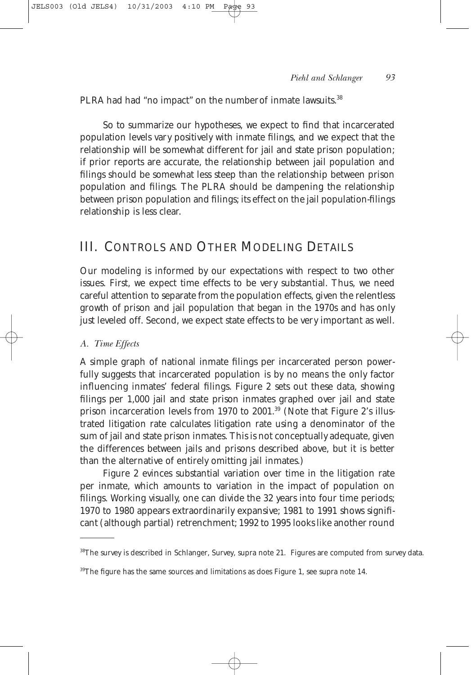PLRA had had "no impact" on the number of inmate lawsuits.<sup>38</sup>

So to summarize our hypotheses, we expect to find that incarcerated population levels vary positively with inmate filings, and we expect that the relationship will be somewhat different for jail and state prison population; if prior reports are accurate, the relationship between jail population and filings should be somewhat less steep than the relationship between prison population and filings. The PLRA should be dampening the relationship between prison population and filings; its effect on the jail population-filings relationship is less clear.

# III. CONTROLS AND OTHER MODELING DETAILS

Our modeling is informed by our expectations with respect to two other issues. First, we expect time effects to be very substantial. Thus, we need careful attention to separate from the population effects, given the relentless growth of prison and jail population that began in the 1970s and has only just leveled off. Second, we expect state effects to be very important as well.

#### *A. Time Effects*

A simple graph of national inmate filings per incarcerated person powerfully suggests that incarcerated population is by no means the only factor influencing inmates' federal filings. Figure 2 sets out these data, showing filings per 1,000 jail and state prison inmates graphed over jail and state prison incarceration levels from 1970 to 2001.<sup>39</sup> (Note that Figure 2's illustrated litigation rate calculates litigation rate using a denominator of the sum of jail and state prison inmates. This is not conceptually adequate, given the differences between jails and prisons described above, but it is better than the alternative of entirely omitting jail inmates.)

Figure 2 evinces substantial variation over time in the litigation rate per inmate, which amounts to variation in the impact of population on filings. Working visually, one can divide the 32 years into four time periods; 1970 to 1980 appears extraordinarily expansive; 1981 to 1991 shows significant (although partial) retrenchment; 1992 to 1995 looks like another round

<sup>38</sup>The survey is described in Schlanger, Survey, supra note 21. Figures are computed from survey data.

 $39$ The figure has the same sources and limitations as does Figure 1, see supra note 14.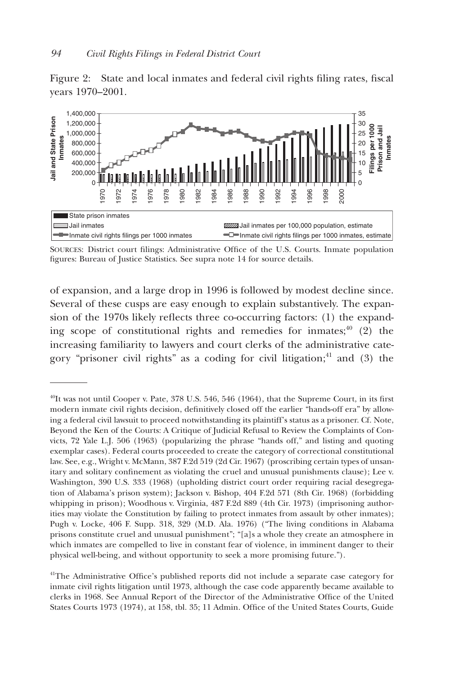Figure 2: State and local inmates and federal civil rights filing rates, fiscal years 1970–2001.



SOURCES: District court filings: Administrative Office of the U.S. Courts. Inmate population figures: Bureau of Justice Statistics. See supra note 14 for source details.

of expansion, and a large drop in 1996 is followed by modest decline since. Several of these cusps are easy enough to explain substantively. The expansion of the 1970s likely reflects three co-occurring factors: (1) the expanding scope of constitutional rights and remedies for inmates;  $^{40}$  (2) the increasing familiarity to lawyers and court clerks of the administrative category "prisoner civil rights" as a coding for civil litigation; $41$  and (3) the

 $40$ It was not until Cooper v. Pate, 378 U.S. 546, 546 (1964), that the Supreme Court, in its first modern inmate civil rights decision, definitively closed off the earlier "hands-off era" by allowing a federal civil lawsuit to proceed notwithstanding its plaintiff's status as a prisoner. Cf. Note, Beyond the Ken of the Courts: A Critique of Judicial Refusal to Review the Complaints of Convicts, 72 Yale L.J. 506 (1963) (popularizing the phrase "hands off," and listing and quoting exemplar cases). Federal courts proceeded to create the category of correctional constitutional law. See, e.g., Wright v. McMann, 387 F.2d 519 (2d Cir. 1967) (proscribing certain types of unsanitary and solitary confinement as violating the cruel and unusual punishments clause); Lee v. Washington, 390 U.S. 333 (1968) (upholding district court order requiring racial desegregation of Alabama's prison system); Jackson v. Bishop, 404 F.2d 571 (8th Cir. 1968) (forbidding whipping in prison); Woodhous v. Virginia, 487 F.2d 889 (4th Cir. 1973) (imprisoning authorities may violate the Constitution by failing to protect inmates from assault by other inmates); Pugh v. Locke, 406 F. Supp. 318, 329 (M.D. Ala. 1976) ("The living conditions in Alabama prisons constitute cruel and unusual punishment"; "[a]s a whole they create an atmosphere in which inmates are compelled to live in constant fear of violence, in imminent danger to their physical well-being, and without opportunity to seek a more promising future.").

<sup>&</sup>lt;sup>41</sup>The Administrative Office's published reports did not include a separate case category for inmate civil rights litigation until 1973, although the case code apparently became available to clerks in 1968. See Annual Report of the Director of the Administrative Office of the United States Courts 1973 (1974), at 158, tbl. 35; 11 Admin. Office of the United States Courts, Guide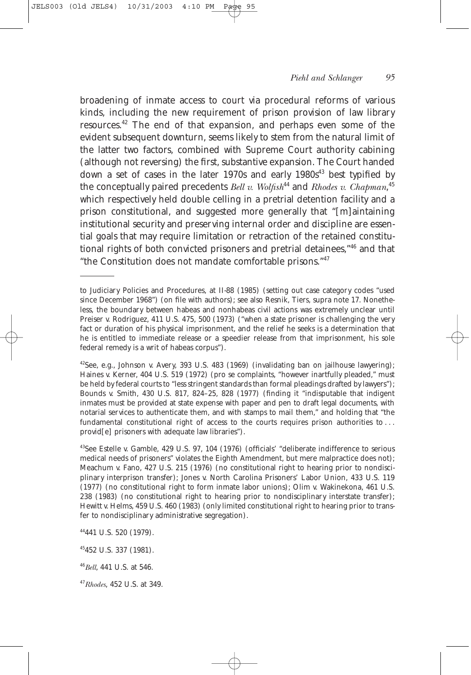broadening of inmate access to court via procedural reforms of various kinds, including the new requirement of prison provision of law library resources.42 The end of that expansion, and perhaps even some of the evident subsequent downturn, seems likely to stem from the natural limit of the latter two factors, combined with Supreme Court authority cabining (although not reversing) the first, substantive expansion. The Court handed down a set of cases in the later 1970s and early  $1980s<sup>43</sup>$  best typified by the conceptually paired precedents *Bell v. Wolfish*<sup>44</sup> and *Rhodes v. Chapman*, 45 which respectively held double celling in a pretrial detention facility and a prison constitutional, and suggested more generally that "[m]aintaining institutional security and preserving internal order and discipline are essential goals that may require limitation or retraction of the retained constitutional rights of both convicted prisoners and pretrial detainees,"46 and that "the Constitution does not mandate comfortable prisons."<sup>47</sup>

44441 U.S. 520 (1979).

to Judiciary Policies and Procedures, at II-88 (1985) (setting out case category codes "used since December 1968") (on file with authors); see also Resnik, Tiers, supra note 17. Nonetheless, the boundary between habeas and nonhabeas civil actions was extremely unclear until Preiser v. Rodriguez, 411 U.S. 475, 500 (1973) ("when a state prisoner is challenging the very fact or duration of his physical imprisonment, and the relief he seeks is a determination that he is entitled to immediate release or a speedier release from that imprisonment, his sole federal remedy is a writ of habeas corpus").

 $^{42}$ See, e.g., Johnson v. Avery, 393 U.S. 483 (1969) (invalidating ban on jailhouse lawyering); Haines v. Kerner, 404 U.S. 519 (1972) (pro se complaints, "however inartfully pleaded," must be held by federal courts to "less stringent standards than formal pleadings drafted by lawyers"); Bounds v. Smith, 430 U.S. 817, 824–25, 828 (1977) (finding it "indisputable that indigent inmates must be provided at state expense with paper and pen to draft legal documents, with notarial services to authenticate them, and with stamps to mail them," and holding that "the fundamental constitutional right of access to the courts requires prison authorities to . . . provid[e] prisoners with adequate law libraries").

<sup>43</sup>See Estelle v. Gamble, 429 U.S. 97, 104 (1976) (officials' "deliberate indifference to serious medical needs of prisoners" violates the Eighth Amendment, but mere malpractice does not); Meachum v. Fano, 427 U.S. 215 (1976) (no constitutional right to hearing prior to nondisciplinary interprison transfer); Jones v. North Carolina Prisoners' Labor Union, 433 U.S. 119 (1977) (no constitutional right to form inmate labor unions); Olim v. Wakinekona, 461 U.S. 238 (1983) (no constitutional right to hearing prior to nondisciplinary interstate transfer); Hewitt v. Helms, 459 U.S. 460 (1983) (only limited constitutional right to hearing prior to transfer to nondisciplinary administrative segregation).

<sup>45452</sup> U.S. 337 (1981).

<sup>46</sup>*Bell*, 441 U.S. at 546.

<sup>47</sup>*Rhodes*, 452 U.S. at 349.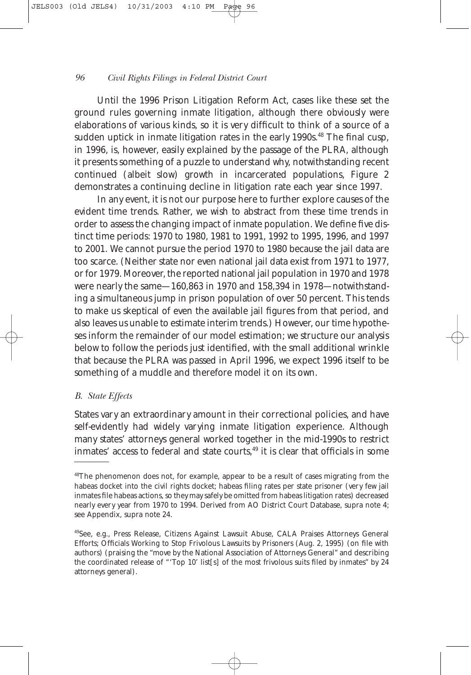Until the 1996 Prison Litigation Reform Act, cases like these set the ground rules governing inmate litigation, although there obviously were elaborations of various kinds, so it is very difficult to think of a source of a sudden uptick in inmate litigation rates in the early 1990s.<sup>48</sup> The final cusp, in 1996, is, however, easily explained by the passage of the PLRA, although it presents something of a puzzle to understand why, notwithstanding recent continued (albeit slow) growth in incarcerated populations, Figure 2 demonstrates a continuing decline in litigation rate each year since 1997.

In any event, it is not our purpose here to further explore causes of the evident time trends. Rather, we wish to abstract from these time trends in order to assess the changing impact of inmate population. We define five distinct time periods: 1970 to 1980, 1981 to 1991, 1992 to 1995, 1996, and 1997 to 2001. We cannot pursue the period 1970 to 1980 because the jail data are too scarce. (Neither state nor even national jail data exist from 1971 to 1977, or for 1979. Moreover, the reported national jail population in 1970 and 1978 were nearly the same—160,863 in 1970 and 158,394 in 1978—notwithstanding a simultaneous jump in prison population of over 50 percent. This tends to make us skeptical of even the available jail figures from that period, and also leaves us unable to estimate interim trends.) However, our time hypotheses inform the remainder of our model estimation; we structure our analysis below to follow the periods just identified, with the small additional wrinkle that because the PLRA was passed in April 1996, we expect 1996 itself to be something of a muddle and therefore model it on its own.

#### *B. State Effects*

States vary an extraordinary amount in their correctional policies, and have self-evidently had widely varying inmate litigation experience. Although many states' attorneys general worked together in the mid-1990s to restrict inmates' access to federal and state courts.<sup>49</sup> it is clear that officials in some

<sup>48</sup>The phenomenon does not, for example, appear to be a result of cases migrating from the habeas docket into the civil rights docket; habeas filing rates per state prisoner (very few jail inmates file habeas actions, so they may safely be omitted from habeas litigation rates) decreased nearly every year from 1970 to 1994. Derived from AO District Court Database, supra note 4; see Appendix, supra note 24.

<sup>49</sup>See, e.g., Press Release, Citizens Against Lawsuit Abuse, CALA Praises Attorneys General Efforts; Officials Working to Stop Frivolous Lawsuits by Prisoners (Aug. 2, 1995) (on file with authors) (praising the "move by the National Association of Attorneys General" and describing the coordinated release of "'Top 10' list[s] of the most frivolous suits filed by inmates" by 24 attorneys general).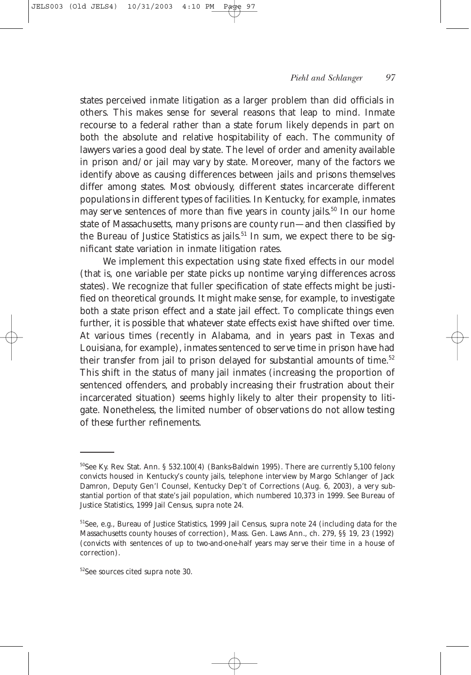states perceived inmate litigation as a larger problem than did officials in others. This makes sense for several reasons that leap to mind. Inmate recourse to a federal rather than a state forum likely depends in part on both the absolute and relative hospitability of each. The community of lawyers varies a good deal by state. The level of order and amenity available in prison and/or jail may vary by state. Moreover, many of the factors we identify above as causing differences between jails and prisons themselves differ among states. Most obviously, different states incarcerate different populations in different types of facilities. In Kentucky, for example, inmates may serve sentences of more than five years in county jails.<sup>50</sup> In our home state of Massachusetts, many prisons are county run—and then classified by the Bureau of Justice Statistics as jails.<sup>51</sup> In sum, we expect there to be significant state variation in inmate litigation rates.

We implement this expectation using state fixed effects in our model (that is, one variable per state picks up nontime varying differences across states). We recognize that fuller specification of state effects might be justified on theoretical grounds. It might make sense, for example, to investigate both a state prison effect and a state jail effect. To complicate things even further, it is possible that whatever state effects exist have shifted over time. At various times (recently in Alabama, and in years past in Texas and Louisiana, for example), inmates sentenced to serve time in prison have had their transfer from jail to prison delayed for substantial amounts of time.<sup>52</sup> This shift in the status of many jail inmates (increasing the proportion of sentenced offenders, and probably increasing their frustration about their incarcerated situation) seems highly likely to alter their propensity to litigate. Nonetheless, the limited number of observations do not allow testing of these further refinements.

<sup>50</sup>See Ky. Rev. Stat. Ann. § 532.100(4) (Banks-Baldwin 1995). There are currently 5,100 felony convicts housed in Kentucky's county jails, telephone interview by Margo Schlanger of Jack Damron, Deputy Gen'l Counsel, Kentucky Dep't of Corrections (Aug. 6, 2003), a very substantial portion of that state's jail population, which numbered 10,373 in 1999. See Bureau of Justice Statistics, 1999 Jail Census, supra note 24.

<sup>&</sup>lt;sup>51</sup>See, e.g., Bureau of Justice Statistics, 1999 Jail Census, supra note 24 (including data for the Massachusetts county houses of correction), Mass. Gen. Laws Ann., ch. 279, §§ 19, 23 (1992) (convicts with sentences of up to two-and-one-half years may serve their time in a house of correction).

<sup>52</sup>See sources cited supra note 30.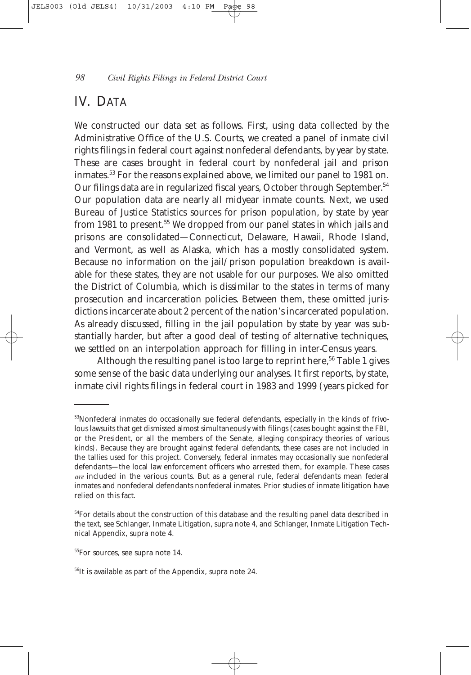# IV. DATA

We constructed our data set as follows. First, using data collected by the Administrative Office of the U.S. Courts, we created a panel of inmate civil rights filings in federal court against nonfederal defendants, by year by state. These are cases brought in federal court by nonfederal jail and prison inmates.53 For the reasons explained above, we limited our panel to 1981 on. Our filings data are in regularized fiscal years, October through September.<sup>54</sup> Our population data are nearly all midyear inmate counts. Next, we used Bureau of Justice Statistics sources for prison population, by state by year from 1981 to present.<sup>55</sup> We dropped from our panel states in which jails and prisons are consolidated—Connecticut, Delaware, Hawaii, Rhode Island, and Vermont, as well as Alaska, which has a mostly consolidated system. Because no information on the jail/prison population breakdown is available for these states, they are not usable for our purposes. We also omitted the District of Columbia, which is dissimilar to the states in terms of many prosecution and incarceration policies. Between them, these omitted jurisdictions incarcerate about 2 percent of the nation's incarcerated population. As already discussed, filling in the jail population by state by year was substantially harder, but after a good deal of testing of alternative techniques, we settled on an interpolation approach for filling in inter-Census years.

Although the resulting panel is too large to reprint here,<sup>56</sup> Table 1 gives some sense of the basic data underlying our analyses. It first reports, by state, inmate civil rights filings in federal court in 1983 and 1999 (years picked for

<sup>&</sup>lt;sup>53</sup>Nonfederal inmates do occasionally sue federal defendants, especially in the kinds of frivolous lawsuits that get dismissed almost simultaneously with filings (cases bought against the FBI, or the President, or all the members of the Senate, alleging conspiracy theories of various kinds). Because they are brought against federal defendants, these cases are not included in the tallies used for this project. Conversely, federal inmates may occasionally sue nonfederal defendants—the local law enforcement officers who arrested them, for example. These cases *are* included in the various counts. But as a general rule, federal defendants mean federal inmates and nonfederal defendants nonfederal inmates. Prior studies of inmate litigation have relied on this fact.

<sup>&</sup>lt;sup>54</sup>For details about the construction of this database and the resulting panel data described in the text, see Schlanger, Inmate Litigation, supra note 4, and Schlanger, Inmate Litigation Technical Appendix, supra note 4.

<sup>55</sup>For sources, see supra note 14.

 $56$ It is available as part of the Appendix, supra note 24.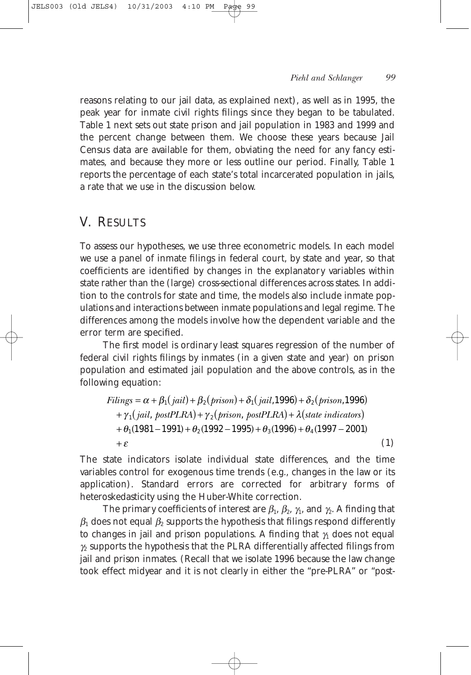reasons relating to our jail data, as explained next), as well as in 1995, the peak year for inmate civil rights filings since they began to be tabulated. Table 1 next sets out state prison and jail population in 1983 and 1999 and the percent change between them. We choose these years because Jail Census data are available for them, obviating the need for any fancy estimates, and because they more or less outline our period. Finally, Table 1 reports the percentage of each state's total incarcerated population in jails, a rate that we use in the discussion below.

# V. RESULTS

To assess our hypotheses, we use three econometric models. In each model we use a panel of inmate filings in federal court, by state and year, so that coefficients are identified by changes in the explanatory variables within state rather than the (large) cross-sectional differences across states. In addition to the controls for state and time, the models also include inmate populations and interactions between inmate populations and legal regime. The differences among the models involve how the dependent variable and the error term are specified.

The first model is ordinary least squares regression of the number of federal civil rights filings by inmates (in a given state and year) on prison population and estimated jail population and the above controls, as in the following equation:

(1) *Filings jail prison jail prison jail postPLRA prison postPLRA state indicators* = + ( ) + ( ) + ( ) + ( ) + ( ) + ( ) + ( ) + - ( ) + - ( ) + ( ) + - ( ) + ab b d d gg l q q qq e 12 1 2 1 2 1 2 34 1996 1996 1981 1991 1992 1995 1996 1997 2001 , , , ,

The state indicators isolate individual state differences, and the time variables control for exogenous time trends (e.g., changes in the law or its application). Standard errors are corrected for arbitrary forms of heteroskedasticity using the Huber-White correction.

The primary coefficients of interest are  $\beta_1$ ,  $\beta_2$ ,  $\gamma_1$ , and  $\gamma_2$ . A finding that  $\beta_1$  does not equal  $\beta_2$  supports the hypothesis that filings respond differently to changes in jail and prison populations. A finding that  $\gamma_1$  does not equal  $\gamma_2$  supports the hypothesis that the PLRA differentially affected filings from jail and prison inmates. (Recall that we isolate 1996 because the law change took effect midyear and it is not clearly in either the "pre-PLRA" or "post-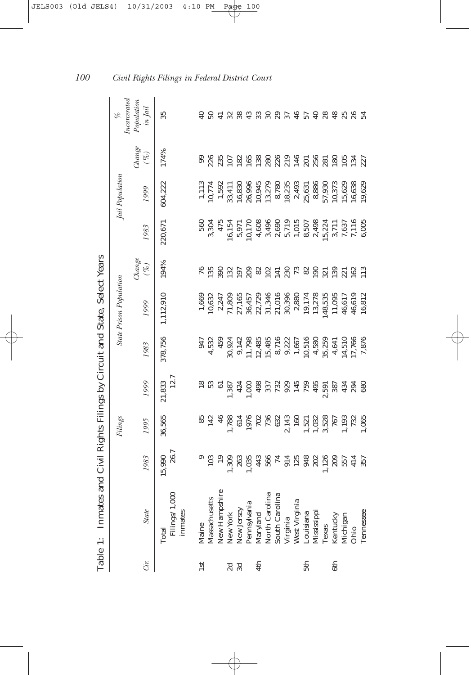| Table 1:        | Inmates and Civil Rights Filings by Circuit and State, Select Years |                             |                                         |                          |                                                                                                                             |                         |                                       |                                          |                                                          |                   |                        |
|-----------------|---------------------------------------------------------------------|-----------------------------|-----------------------------------------|--------------------------|-----------------------------------------------------------------------------------------------------------------------------|-------------------------|---------------------------------------|------------------------------------------|----------------------------------------------------------|-------------------|------------------------|
|                 |                                                                     |                             | Filings                                 |                          |                                                                                                                             | State Prison Population |                                       |                                          | Jail Population                                          |                   | Increated<br>æ         |
| Сir.            | <b>State</b>                                                        | 1983                        | 1995                                    | 1999                     | 1983                                                                                                                        | 1999                    | $\label{eq:example} Change$<br>$(\%)$ | 1983                                     | 1999                                                     | Change<br>$(\%)$  | Poptulation<br>in Jail |
|                 | Filings/1,000<br>inmates<br><b>Total</b>                            | 26.7<br>15,990              | 36,565                                  | 12.<br>21,833            | 378,756                                                                                                                     | .,112,910               | 194%                                  | 220,671                                  | 604,222                                                  | 174%              | 35                     |
| 1 <sub>st</sub> | Maine                                                               |                             |                                         |                          | 947                                                                                                                         | 1,669                   | 76                                    | 560                                      |                                                          | 99                |                        |
|                 | Massachusetts                                                       | 103                         | 142                                     | 53                       | 4,532                                                                                                                       | 10,632                  | 135                                   | 3,304                                    | 1,113<br>10,774<br>1,592                                 | 226               |                        |
|                 | New Hampshire                                                       |                             | $\ddot{=}$                              | ධ                        | 459                                                                                                                         | 2,247                   | 39 <sub>0</sub>                       | 475                                      |                                                          | 235               |                        |
|                 | <b>New York</b>                                                     | 1,309                       | 1,788                                   | , 387                    | 30,924                                                                                                                      | 71,809                  | 132                                   | 16,154                                   | 33,411                                                   | 107               | 32                     |
| zd<br>3d        | New Jersey                                                          | 263                         | 614                                     | 424                      | 9,142                                                                                                                       | 27,165                  | 197                                   | 5,971                                    | 16,830                                                   | 182               | 38                     |
|                 | Pennsylvania                                                        | 1,035                       | 1976                                    | 000.1                    |                                                                                                                             | 36,457                  | 209                                   | 10,170                                   | 26,996                                                   | $\frac{165}{138}$ | 43                     |
| 4th             | Maryland                                                            | 443                         |                                         | 498                      |                                                                                                                             | 22,729                  |                                       | 4,608                                    | 10,945                                                   |                   | 33                     |
|                 | North Carolina                                                      | 566                         | $\frac{702}{736}$                       | 337                      |                                                                                                                             | 31,346                  |                                       |                                          | 13,279                                                   |                   |                        |
|                 | South Carolina                                                      | $\mathcal{F}_{\mathcal{A}}$ | 632                                     |                          |                                                                                                                             | 21,016                  |                                       |                                          | 8,780                                                    |                   |                        |
|                 | Virginia                                                            | 914                         | 2,143                                   | 732<br>925<br>145<br>759 |                                                                                                                             | 30,396                  | 88278888                              | $3,496$<br>$2,690$<br>$5,719$<br>$1,015$ |                                                          | 883745            | <b>232358</b>          |
|                 | <b>Nest Virginia</b>                                                | 125                         | <b>160</b>                              |                          |                                                                                                                             | 2,880                   |                                       |                                          |                                                          |                   |                        |
| 5th             | Louisiana                                                           | 948                         |                                         |                          |                                                                                                                             | 19,174                  |                                       | 8,507                                    | $\begin{array}{c} 18,235 \\ 2,493 \\ 25,631 \end{array}$ |                   |                        |
|                 | Mississippi                                                         | 202                         |                                         |                          |                                                                                                                             | 13,278                  |                                       | 2,498                                    | 8,886                                                    | 256               |                        |
|                 | $\Gamma$ exas                                                       | ,126                        | $\frac{1.521}{1.032}$<br>3.528<br>3.767 | 495<br>2,591             | $\begin{array}{l} 11.798\\ 12.485\\ 15.485\\ 8.716\\ 9.222\\ 10.516\\ 10.516\\ 30.59\\ 4.580\\ 3.541\\ 4.641\\ \end{array}$ | 48,535                  | 321                                   | 15,224                                   | 57,930                                                   | $\frac{281}{180}$ | $28$<br>48             |
| 6th             | Kentucky                                                            | 209                         |                                         | 387                      |                                                                                                                             | 11,095                  | 139                                   | 3,711                                    | 10,373                                                   |                   |                        |
|                 | Michigan                                                            | 557                         | 1,193                                   | 434                      |                                                                                                                             | 46,617                  | 221                                   | 7,637                                    | 15,629                                                   | 105               | 25                     |
|                 | Ohio                                                                | 414                         | 732                                     |                          | 14,510<br>17,766                                                                                                            | 46,619                  | 162                                   | 7,116                                    | 16,638                                                   | 134               |                        |
|                 | Tennessee                                                           | 357                         | 065                                     | 680                      | 7,876                                                                                                                       | 16,812                  | $\overline{13}$                       | 6,005                                    | 19,629                                                   | 227               | 54                     |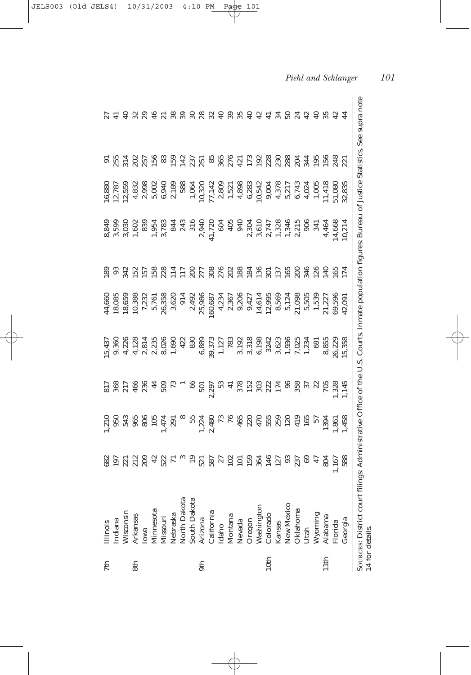| 7th              | llinois                                                                                                                                                              | 382               |                                                                                                                                                                                                                                                                                                                |                  | $^{89}$          |                                 |     |          |
|------------------|----------------------------------------------------------------------------------------------------------------------------------------------------------------------|-------------------|----------------------------------------------------------------------------------------------------------------------------------------------------------------------------------------------------------------------------------------------------------------------------------------------------------------|------------------|------------------|---------------------------------|-----|----------|
|                  |                                                                                                                                                                      |                   |                                                                                                                                                                                                                                                                                                                |                  |                  |                                 |     |          |
|                  | Indiana<br>Wisconsin<br>Arkansas                                                                                                                                     |                   | $\begin{array}{c} 1.210 \\ -350 \\ 543 \\ 545 \\ -60 \\ 60 \\ -1474 \\ 1.474 \\ 291 \\ \end{array}$                                                                                                                                                                                                            |                  | 93<br>342        |                                 |     |          |
| 8th              |                                                                                                                                                                      |                   |                                                                                                                                                                                                                                                                                                                |                  |                  |                                 |     |          |
|                  | lowa                                                                                                                                                                 |                   |                                                                                                                                                                                                                                                                                                                |                  |                  |                                 |     |          |
|                  |                                                                                                                                                                      |                   |                                                                                                                                                                                                                                                                                                                |                  |                  |                                 |     |          |
|                  |                                                                                                                                                                      |                   |                                                                                                                                                                                                                                                                                                                |                  |                  |                                 |     |          |
|                  |                                                                                                                                                                      |                   |                                                                                                                                                                                                                                                                                                                |                  |                  |                                 |     |          |
|                  |                                                                                                                                                                      |                   |                                                                                                                                                                                                                                                                                                                |                  |                  |                                 |     |          |
|                  | Minnesota<br>Missouri<br>Nebraska<br>North Dakota<br>South Dakota                                                                                                    |                   |                                                                                                                                                                                                                                                                                                                |                  |                  |                                 |     |          |
| 9 <sub>th</sub>  |                                                                                                                                                                      |                   |                                                                                                                                                                                                                                                                                                                |                  |                  |                                 |     |          |
|                  | Arizona<br>California<br>Idaho<br>Idaho<br>Montana<br>Nesda<br>Oregon<br>Oregon<br>Washington                                                                        |                   | $\begin{array}{r} 8\\ 8\\ 5\\ 4\\ 2\\ 4\\ 6\\ 7\\ 8\\ 9\\ 1\\ 2\\ 3\\ 6\\ 7\\ 8\\ 9\\ 1\\ 1\\ 2\\ 3\\ 6\\ 7\\ 8\\ 9\\ 1\\ 1\\ 2\\ 3\\ 4\\ 1\\ 2\\ 3\\ 4\\ 1\\ 2\\ 3\\ 4\\ 1\\ 2\\ 3\\ 4\\ 2\\ 4\\ 3\\ 4\\ 4\\ 2\\ 4\\ 3\\ 4\\ 4\\ 2\\ 4\\ 3\\ 4\\ 4\\ 4\\ 3\\ 4\\ 4\\ 4\\ 5\\ 7\\ 8\\ 9\\ 1\\ 2\\ 4\\ 2\\ 3\\$ |                  |                  |                                 |     |          |
|                  |                                                                                                                                                                      |                   |                                                                                                                                                                                                                                                                                                                |                  |                  |                                 |     |          |
|                  |                                                                                                                                                                      |                   |                                                                                                                                                                                                                                                                                                                |                  |                  |                                 |     |          |
|                  |                                                                                                                                                                      |                   |                                                                                                                                                                                                                                                                                                                |                  |                  |                                 |     |          |
|                  |                                                                                                                                                                      |                   |                                                                                                                                                                                                                                                                                                                |                  |                  |                                 |     |          |
|                  |                                                                                                                                                                      |                   |                                                                                                                                                                                                                                                                                                                |                  |                  |                                 |     |          |
| 10 <sup>th</sup> |                                                                                                                                                                      |                   |                                                                                                                                                                                                                                                                                                                |                  |                  |                                 |     |          |
|                  | Kansas                                                                                                                                                               |                   |                                                                                                                                                                                                                                                                                                                |                  |                  |                                 |     |          |
|                  |                                                                                                                                                                      |                   |                                                                                                                                                                                                                                                                                                                |                  |                  |                                 |     |          |
|                  | New Mexico<br>Oklahoma                                                                                                                                               |                   |                                                                                                                                                                                                                                                                                                                |                  |                  |                                 |     |          |
|                  |                                                                                                                                                                      |                   |                                                                                                                                                                                                                                                                                                                |                  |                  |                                 |     |          |
|                  | Utah<br>Wyoming                                                                                                                                                      |                   |                                                                                                                                                                                                                                                                                                                |                  |                  |                                 |     |          |
| $\frac{1}{11}$   | Alabama                                                                                                                                                              |                   | 1394                                                                                                                                                                                                                                                                                                           |                  |                  |                                 |     |          |
|                  | Florida                                                                                                                                                              | 804<br>167<br>588 | ,861                                                                                                                                                                                                                                                                                                           | 26,229<br>15,358 |                  | $4,464$<br>$4,668$<br>$[0,214]$ | 156 | 22<br>24 |
|                  | Georgia                                                                                                                                                              |                   | 1,458                                                                                                                                                                                                                                                                                                          |                  | $\overline{174}$ |                                 | 21  |          |
|                  | Sources: District court filings: Administrative Office of the U.S. Courts. Inmate population figures: Bureau of Justice Statistics, See supra note<br>14 for details |                   |                                                                                                                                                                                                                                                                                                                |                  |                  |                                 |     |          |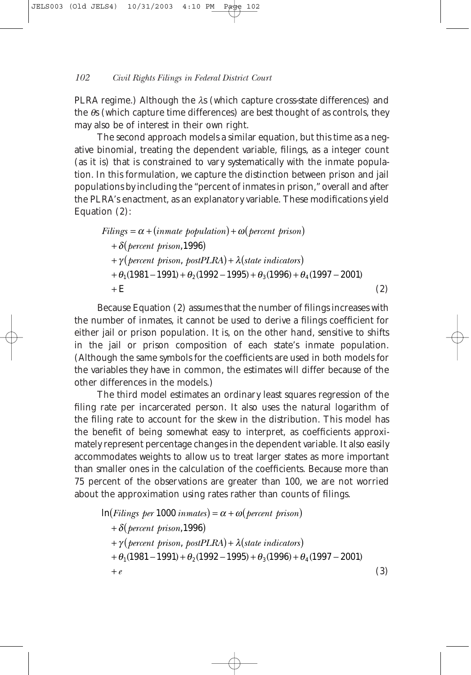PLRA regime.) Although the  $\lambda$ s (which capture cross-state differences) and the  $\theta$ s (which capture time differences) are best thought of as controls, they may also be of interest in their own right.

The second approach models a similar equation, but this time as a negative binomial, treating the dependent variable, filings, as a integer count (as it is) that is constrained to vary systematically with the inmate population. In this formulation, we capture the distinction between prison and jail populations by including the "percent of inmates in prison," overall and after the PLRA's enactment, as an explanatory variable. These modifications yield Equation (2):

Filings = 
$$
\alpha + (inmate\ population) + \omega(\text{percent\ prison})
$$

\n $+ \delta(\text{percent\ prison}, 1996)$ 

\n $+ \gamma(\text{percent\ prison}, \text{postPLAN}) + \lambda(\text{state\ indicators})$ 

\n $+ \theta_1(1981 - 1991) + \theta_2(1992 - 1995) + \theta_3(1996) + \theta_4(1997 - 2001)$ 

\n $+ E$ 

\n(2)

Because Equation (2) assumes that the number of filings increases with the number of inmates, it cannot be used to derive a filings coefficient for either jail or prison population. It is, on the other hand, sensitive to shifts in the jail or prison composition of each state's inmate population. (Although the same symbols for the coefficients are used in both models for the variables they have in common, the estimates will differ because of the other differences in the models.)

The third model estimates an ordinary least squares regression of the filing rate per incarcerated person. It also uses the natural logarithm of the filing rate to account for the skew in the distribution. This model has the benefit of being somewhat easy to interpret, as coefficients approximately represent percentage changes in the dependent variable. It also easily accommodates weights to allow us to treat larger states as more important than smaller ones in the calculation of the coefficients. Because more than 75 percent of the observations are greater than 100, we are not worried about the approximation using rates rather than counts of filings.

$$
\ln(Filings per 1000 inmates) = \alpha + \omega(\text{percent prison}) + \delta(\text{percent prison, 1996}) + \gamma(\text{percent prison, postPLAN}) + \lambda(\text{state indicators}) + \theta_1(1981 - 1991) + \theta_2(1992 - 1995) + \theta_3(1996) + \theta_4(1997 - 2001) + e
$$
 (3)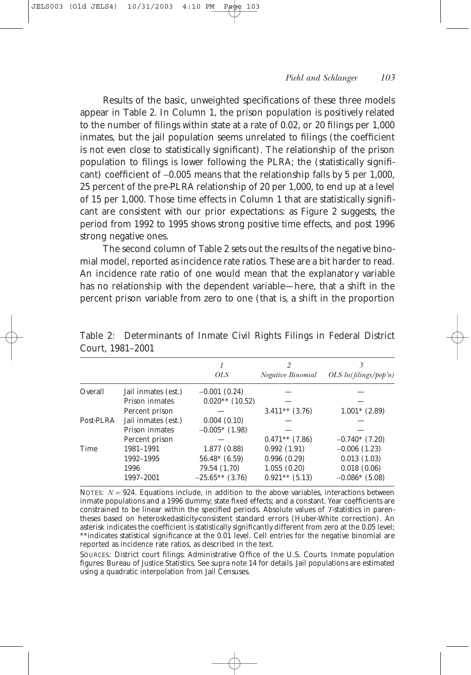Results of the basic, unweighted specifications of these three models appear in Table 2. In Column 1, the prison population is positively related to the number of filings within state at a rate of 0.02, or 20 filings per 1,000 inmates, but the jail population seems unrelated to filings (the coefficient is not even close to statistically significant). The relationship of the prison population to filings is lower following the PLRA; the (statistically significant) coefficient of -0.005 means that the relationship falls by 5 per 1,000, 25 percent of the pre-PLRA relationship of 20 per 1,000, to end up at a level of 15 per 1,000. Those time effects in Column 1 that are statistically significant are consistent with our prior expectations: as Figure 2 suggests, the period from 1992 to 1995 shows strong positive time effects, and post 1996 strong negative ones.

The second column of Table 2 sets out the results of the negative binomial model, reported as incidence rate ratios. These are a bit harder to read. An incidence rate ratio of one would mean that the explanatory variable has no relationship with the dependent variable—here, that a shift in the percent prison variable from zero to one (that is, a shift in the proportion

|           |                     |                    | 2                 | 3                          |
|-----------|---------------------|--------------------|-------------------|----------------------------|
|           |                     | <i>OLS</i>         | Negative Binomial | $OLS$ $ln(flings / pop'n)$ |
| Overall   | Jail inmates (est.) | $-0.001(0.24)$     |                   |                            |
|           | Prison inmates      | $0.020**$ (10.52)  |                   |                            |
|           | Percent prison      |                    | $3.411**$ (3.76)  | $1.001*$ (2.89)            |
| Post-PLRA | Jail inmates (est.) | 0.004(0.10)        |                   |                            |
|           | Prison inmates      | $-0.005*$ (1.98)   |                   |                            |
|           | Percent prison      |                    | $0.471**$ (7.86)  | $-0.740*(7.20)$            |
| Time      | 1981-1991           | 1.877(0.88)        | 0.992(1.91)       | $-0.006(1.23)$             |
|           | 1992-1995           | $56.48* (6.59)$    | 0.996(0.29)       | 0.013(1.03)                |
|           | 1996                | 79.54 (1.70)       | 1.055(0.20)       | 0.018(0.06)                |
|           | 1997-2001           | $-25.65***$ (3.76) | $0.921**$ (5.13)  | $-0.086*$ (5.08)           |
|           |                     |                    |                   |                            |

Table 2: Determinants of Inmate Civil Rights Filings in Federal District Court, 1981–2001

NOTES:  $N = 924$ . Equations include, in addition to the above variables, interactions between inmate populations and a 1996 dummy; state fixed effects; and a constant. Year coefficients are constrained to be linear within the specified periods. Absolute values of *T*-statistics in parentheses based on heteroskedasticity-consistent standard errors (Huber-White correction). An asterisk indicates the coefficient is statistically significantly different from zero at the 0.05 level; \*\*indicates statistical significance at the 0.01 level. Cell entries for the negative binomial are reported as incidence rate ratios, as described in the text.

SOURCES: District court filings: Administrative Office of the U.S. Courts. Inmate population figures: Bureau of Justice Statistics. See supra note 14 for details. Jail populations are estimated using a quadratic interpolation from Jail Censuses.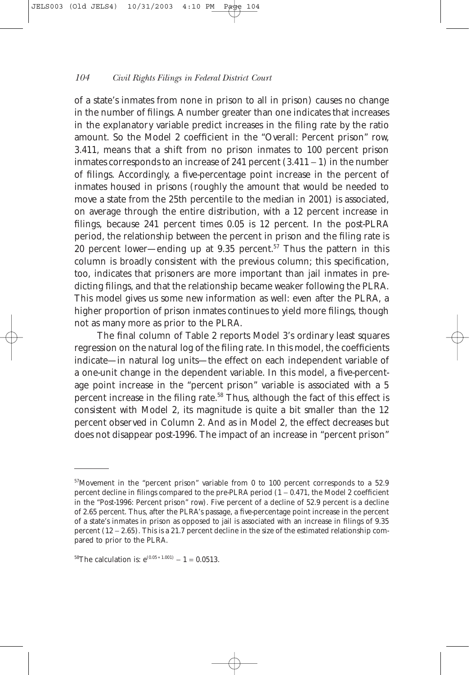of a state's inmates from none in prison to all in prison) causes no change in the number of filings. A number greater than one indicates that increases in the explanatory variable predict increases in the filing rate by the ratio amount. So the Model 2 coefficient in the "Overall: Percent prison" row, 3.411, means that a shift from no prison inmates to 100 percent prison inmates corresponds to an increase of 241 percent  $(3.411 - 1)$  in the number of filings. Accordingly, a five-percentage point increase in the percent of inmates housed in prisons (roughly the amount that would be needed to move a state from the 25th percentile to the median in 2001) is associated, on average through the entire distribution, with a 12 percent increase in filings, because 241 percent times 0.05 is 12 percent. In the post-PLRA period, the relationship between the percent in prison and the filing rate is 20 percent lower—ending up at  $9.35$  percent.<sup>57</sup> Thus the pattern in this column is broadly consistent with the previous column; this specification, too, indicates that prisoners are more important than jail inmates in predicting filings, and that the relationship became weaker following the PLRA. This model gives us some new information as well: even after the PLRA, a higher proportion of prison inmates continues to yield more filings, though not as many more as prior to the PLRA.

The final column of Table 2 reports Model 3's ordinary least squares regression on the natural log of the filing rate. In this model, the coefficients indicate—in natural log units—the effect on each independent variable of a one-unit change in the dependent variable. In this model, a five-percentage point increase in the "percent prison" variable is associated with a 5 percent increase in the filing rate.58 Thus, although the fact of this effect is consistent with Model 2, its magnitude is quite a bit smaller than the 12 percent observed in Column 2. And as in Model 2, the effect decreases but does not disappear post-1996. The impact of an increase in "percent prison"

 $57$ Movement in the "percent prison" variable from 0 to 100 percent corresponds to a 52.9 percent decline in filings compared to the pre-PLRA period  $(1 - 0.471)$ , the Model 2 coefficient in the "Post-1996: Percent prison" row). Five percent of a decline of 52.9 percent is a decline of 2.65 percent. Thus, after the PLRA's passage, a five-percentage point increase in the percent of a state's inmates in prison as opposed to jail is associated with an increase in filings of 9.35 percent  $(12 - 2.65)$ . This is a 21.7 percent decline in the size of the estimated relationship compared to prior to the PLRA.

<sup>&</sup>lt;sup>58</sup>The calculation is:  $e^{(0.05 * 1.001)} - 1 = 0.0513$ .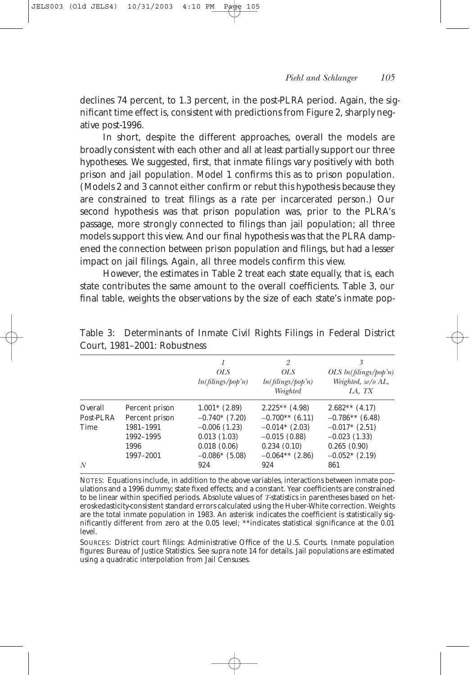declines 74 percent, to 1.3 percent, in the post-PLRA period. Again, the significant time effect is, consistent with predictions from Figure 2, sharply negative post-1996.

In short, despite the different approaches, overall the models are broadly consistent with each other and all at least partially support our three hypotheses. We suggested, first, that inmate filings vary positively with both prison and jail population. Model 1 confirms this as to prison population. (Models 2 and 3 cannot either confirm or rebut this hypothesis because they are constrained to treat filings as a rate per incarcerated person.) Our second hypothesis was that prison population was, prior to the PLRA's passage, more strongly connected to filings than jail population; all three models support this view. And our final hypothesis was that the PLRA dampened the connection between prison population and filings, but had a lesser impact on jail filings. Again, all three models confirm this view.

However, the estimates in Table 2 treat each state equally, that is, each state contributes the same amount to the overall coefficients. Table 3, our final table, weights the observations by the size of each state's inmate pop-

|           |                                             | OLS.                                                             | 2<br>OLS.                                                             | 3<br>OLS $ln(filings/pop'n)$                                        |
|-----------|---------------------------------------------|------------------------------------------------------------------|-----------------------------------------------------------------------|---------------------------------------------------------------------|
|           |                                             | ln(flings / pop'n)                                               | ln(filings/pop'n)<br>Weighted                                         | Weighted, $w/o$ AL,<br>LA, TX                                       |
| Overall   | Percent prison                              | $1.001*$ (2.89)                                                  | $2.225**$ (4.98)                                                      | $2.682**$ (4.17)                                                    |
| Post-PLRA | Percent prison                              | $-0.740*(7.20)$                                                  | $-0.700**$ (6.11)                                                     | $-0.786**$ (6.48)                                                   |
| Time      | 1981-1991<br>1992-1995<br>1996<br>1997-2001 | $-0.006(1.23)$<br>0.013(1.03)<br>0.018(0.06)<br>$-0.086*$ (5.08) | $-0.014*(2.03)$<br>$-0.015(0.88)$<br>0.234(0.10)<br>$-0.064**$ (2.86) | $-0.017*(2.51)$<br>$-0.023(1.33)$<br>0.265(0.90)<br>$-0.052*(2.19)$ |
| N         |                                             | 924                                                              | 924                                                                   | 861                                                                 |

Table 3: Determinants of Inmate Civil Rights Filings in Federal District Court, 1981–2001: Robustness

NOTES: Equations include, in addition to the above variables, interactions between inmate populations and a 1996 dummy; state fixed effects; and a constant. Year coefficients are constrained to be linear within specified periods. Absolute values of *T*-statistics in parentheses based on heteroskedasticity-consistent standard errors calculated using the Huber-White correction. Weights are the total inmate population in 1983. An asterisk indicates the coefficient is statistically significantly different from zero at the 0.05 level; \*\*indicates statistical significance at the 0.01 level.

SOURCES: District court filings: Administrative Office of the U.S. Courts. Inmate population figures: Bureau of Justice Statistics. See supra note 14 for details. Jail populations are estimated using a quadratic interpolation from Jail Censuses.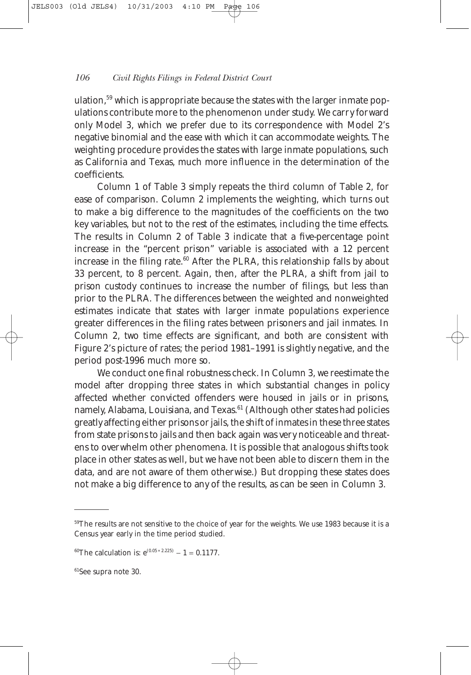ulation,<sup>59</sup> which is appropriate because the states with the larger inmate populations contribute more to the phenomenon under study. We carry forward only Model 3, which we prefer due to its correspondence with Model 2's negative binomial and the ease with which it can accommodate weights. The weighting procedure provides the states with large inmate populations, such as California and Texas, much more influence in the determination of the coefficients.

Column 1 of Table 3 simply repeats the third column of Table 2, for ease of comparison. Column 2 implements the weighting, which turns out to make a big difference to the magnitudes of the coefficients on the two key variables, but not to the rest of the estimates, including the time effects. The results in Column 2 of Table 3 indicate that a five-percentage point increase in the "percent prison" variable is associated with a 12 percent increase in the filing rate. $60$  After the PLRA, this relationship falls by about 33 percent, to 8 percent. Again, then, after the PLRA, a shift from jail to prison custody continues to increase the number of filings, but less than prior to the PLRA. The differences between the weighted and nonweighted estimates indicate that states with larger inmate populations experience greater differences in the filing rates between prisoners and jail inmates. In Column 2, two time effects are significant, and both are consistent with Figure 2's picture of rates; the period 1981–1991 is slightly negative, and the period post-1996 much more so.

We conduct one final robustness check. In Column 3, we reestimate the model after dropping three states in which substantial changes in policy affected whether convicted offenders were housed in jails or in prisons, namely, Alabama, Louisiana, and Texas.<sup>61</sup> (Although other states had policies greatly affecting either prisons or jails, the shift of inmates in these three states from state prisons to jails and then back again was very noticeable and threatens to overwhelm other phenomena. It is possible that analogous shifts took place in other states as well, but we have not been able to discern them in the data, and are not aware of them otherwise.) But dropping these states does not make a big difference to any of the results, as can be seen in Column 3.

<sup>&</sup>lt;sup>59</sup>The results are not sensitive to the choice of year for the weights. We use 1983 because it is a Census year early in the time period studied.

<sup>&</sup>lt;sup>60</sup>The calculation is:  $e^{(0.05 \times 2.225)} - 1 = 0.1177$ .

<sup>61</sup>See supra note 30.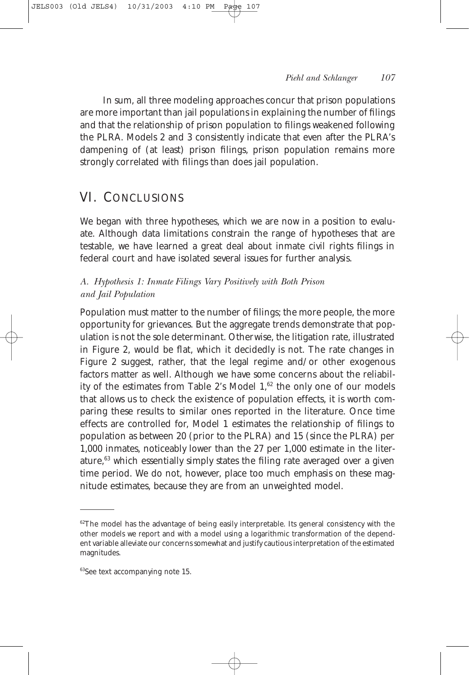In sum, all three modeling approaches concur that prison populations are more important than jail populations in explaining the number of filings and that the relationship of prison population to filings weakened following the PLRA. Models 2 and 3 consistently indicate that even after the PLRA's dampening of (at least) prison filings, prison population remains more strongly correlated with filings than does jail population.

# VI. CONCLUSIONS

We began with three hypotheses, which we are now in a position to evaluate. Although data limitations constrain the range of hypotheses that are testable, we have learned a great deal about inmate civil rights filings in federal court and have isolated several issues for further analysis.

### *A. Hypothesis 1: Inmate Filings Vary Positively with Both Prison and Jail Population*

Population must matter to the number of filings; the more people, the more opportunity for grievances. But the aggregate trends demonstrate that population is not the sole determinant. Otherwise, the litigation rate, illustrated in Figure 2, would be flat, which it decidedly is not. The rate changes in Figure 2 suggest, rather, that the legal regime and/or other exogenous factors matter as well. Although we have some concerns about the reliability of the estimates from Table 2's Model  $1,62$  the only one of our models that allows us to check the existence of population effects, it is worth comparing these results to similar ones reported in the literature. Once time effects are controlled for, Model 1 estimates the relationship of filings to population as between 20 (prior to the PLRA) and 15 (since the PLRA) per 1,000 inmates, noticeably lower than the 27 per 1,000 estimate in the literature,<sup>63</sup> which essentially simply states the filing rate averaged over a given time period. We do not, however, place too much emphasis on these magnitude estimates, because they are from an unweighted model.

 $62$ The model has the advantage of being easily interpretable. Its general consistency with the other models we report and with a model using a logarithmic transformation of the dependent variable alleviate our concerns somewhat and justify cautious interpretation of the estimated magnitudes.

<sup>&</sup>lt;sup>63</sup>See text accompanying note 15.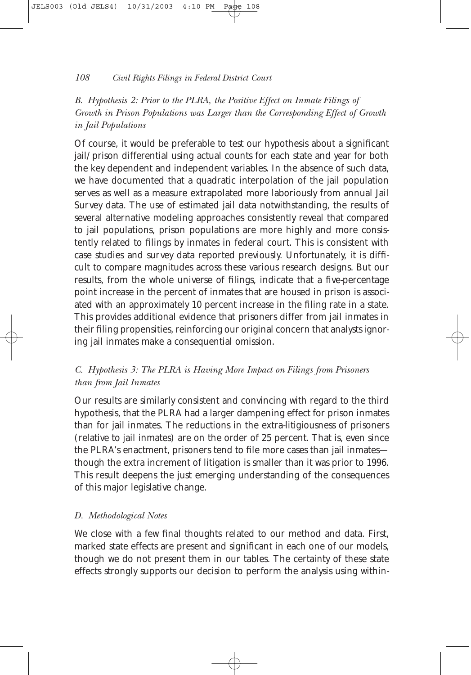*B. Hypothesis 2: Prior to the PLRA, the Positive Effect on Inmate Filings of Growth in Prison Populations was Larger than the Corresponding Effect of Growth in Jail Populations*

Of course, it would be preferable to test our hypothesis about a significant jail/prison differential using actual counts for each state and year for both the key dependent and independent variables. In the absence of such data, we have documented that a quadratic interpolation of the jail population serves as well as a measure extrapolated more laboriously from annual Jail Survey data. The use of estimated jail data notwithstanding, the results of several alternative modeling approaches consistently reveal that compared to jail populations, prison populations are more highly and more consistently related to filings by inmates in federal court. This is consistent with case studies and survey data reported previously. Unfortunately, it is difficult to compare magnitudes across these various research designs. But our results, from the whole universe of filings, indicate that a five-percentage point increase in the percent of inmates that are housed in prison is associated with an approximately 10 percent increase in the filing rate in a state. This provides additional evidence that prisoners differ from jail inmates in their filing propensities, reinforcing our original concern that analysts ignoring jail inmates make a consequential omission.

## *C. Hypothesis 3: The PLRA is Having More Impact on Filings from Prisoners than from Jail Inmates*

Our results are similarly consistent and convincing with regard to the third hypothesis, that the PLRA had a larger dampening effect for prison inmates than for jail inmates. The reductions in the extra-litigiousness of prisoners (relative to jail inmates) are on the order of 25 percent. That is, even since the PLRA's enactment, prisoners tend to file more cases than jail inmates though the extra increment of litigation is smaller than it was prior to 1996. This result deepens the just emerging understanding of the consequences of this major legislative change.

### *D. Methodological Notes*

We close with a few final thoughts related to our method and data. First, marked state effects are present and significant in each one of our models, though we do not present them in our tables. The certainty of these state effects strongly supports our decision to perform the analysis using within